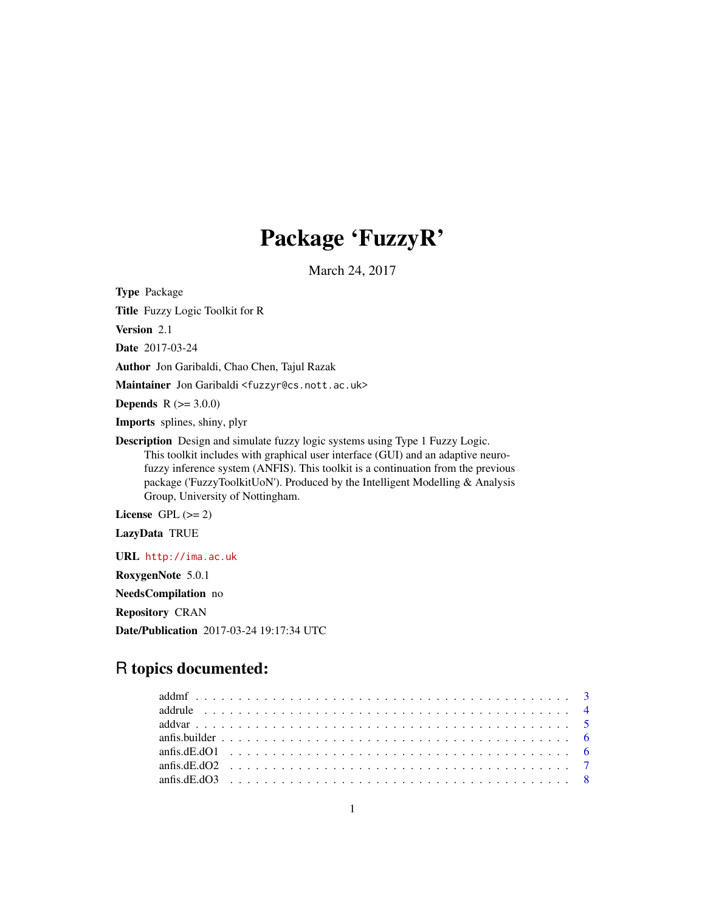# Package 'FuzzyR'

March 24, 2017

<span id="page-0-0"></span>Type Package

Title Fuzzy Logic Toolkit for R

Version 2.1

Date 2017-03-24

Author Jon Garibaldi, Chao Chen, Tajul Razak

Maintainer Jon Garibaldi <fuzzyr@cs.nott.ac.uk>

**Depends** R  $(>= 3.0.0)$ 

Imports splines, shiny, plyr

Description Design and simulate fuzzy logic systems using Type 1 Fuzzy Logic. This toolkit includes with graphical user interface (GUI) and an adaptive neurofuzzy inference system (ANFIS). This toolkit is a continuation from the previous package ('FuzzyToolkitUoN'). Produced by the Intelligent Modelling & Analysis Group, University of Nottingham.

License GPL  $(>= 2)$ 

LazyData TRUE

URL <http://ima.ac.uk>

RoxygenNote 5.0.1

NeedsCompilation no

Repository CRAN

Date/Publication 2017-03-24 19:17:34 UTC

# R topics documented: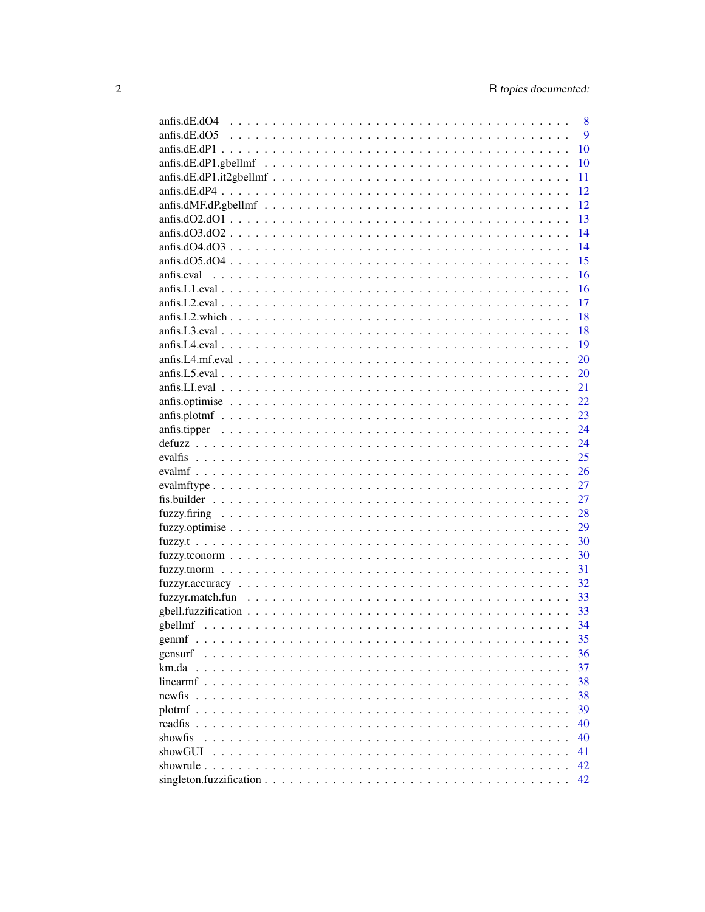|                                                                                                                                                                                                          | 8             |
|----------------------------------------------------------------------------------------------------------------------------------------------------------------------------------------------------------|---------------|
|                                                                                                                                                                                                          | 9             |
|                                                                                                                                                                                                          | 10            |
|                                                                                                                                                                                                          | 10            |
|                                                                                                                                                                                                          | 11            |
|                                                                                                                                                                                                          | 12            |
|                                                                                                                                                                                                          | 12            |
|                                                                                                                                                                                                          | 13            |
|                                                                                                                                                                                                          | 14            |
|                                                                                                                                                                                                          | 14            |
|                                                                                                                                                                                                          | 15            |
|                                                                                                                                                                                                          | 16            |
|                                                                                                                                                                                                          | 16            |
|                                                                                                                                                                                                          | 17            |
|                                                                                                                                                                                                          | 18            |
|                                                                                                                                                                                                          | <sup>18</sup> |
|                                                                                                                                                                                                          | -19           |
|                                                                                                                                                                                                          | 20            |
|                                                                                                                                                                                                          | 20            |
|                                                                                                                                                                                                          | 21            |
|                                                                                                                                                                                                          | 22            |
|                                                                                                                                                                                                          | 23            |
|                                                                                                                                                                                                          | 24            |
|                                                                                                                                                                                                          | 24            |
|                                                                                                                                                                                                          | 25            |
|                                                                                                                                                                                                          | 26            |
|                                                                                                                                                                                                          | 27            |
|                                                                                                                                                                                                          | 27            |
|                                                                                                                                                                                                          | 28            |
|                                                                                                                                                                                                          | 29            |
|                                                                                                                                                                                                          | 30            |
|                                                                                                                                                                                                          | 30            |
|                                                                                                                                                                                                          | 31            |
|                                                                                                                                                                                                          | 32            |
|                                                                                                                                                                                                          | 33            |
|                                                                                                                                                                                                          |               |
|                                                                                                                                                                                                          | 33            |
|                                                                                                                                                                                                          | 34            |
|                                                                                                                                                                                                          | 35            |
| gensurf<br>and a straight and<br>$\frac{1}{2}$ $\frac{1}{2}$ $\frac{1}{2}$ $\frac{1}{2}$ $\frac{1}{2}$ $\frac{1}{2}$ $\frac{1}{2}$ $\frac{1}{2}$ $\frac{1}{2}$ $\frac{1}{2}$ $\frac{1}{2}$ $\frac{1}{2}$ | 36            |
| km.da                                                                                                                                                                                                    | 37            |
| linearmf                                                                                                                                                                                                 | 38            |
| newfis                                                                                                                                                                                                   | 38            |
| plotmf                                                                                                                                                                                                   | 39            |
| readfis                                                                                                                                                                                                  | 40            |
| showfis                                                                                                                                                                                                  | 40            |
| showGUI                                                                                                                                                                                                  | 41            |
| showrule.                                                                                                                                                                                                | 42            |
|                                                                                                                                                                                                          | 42            |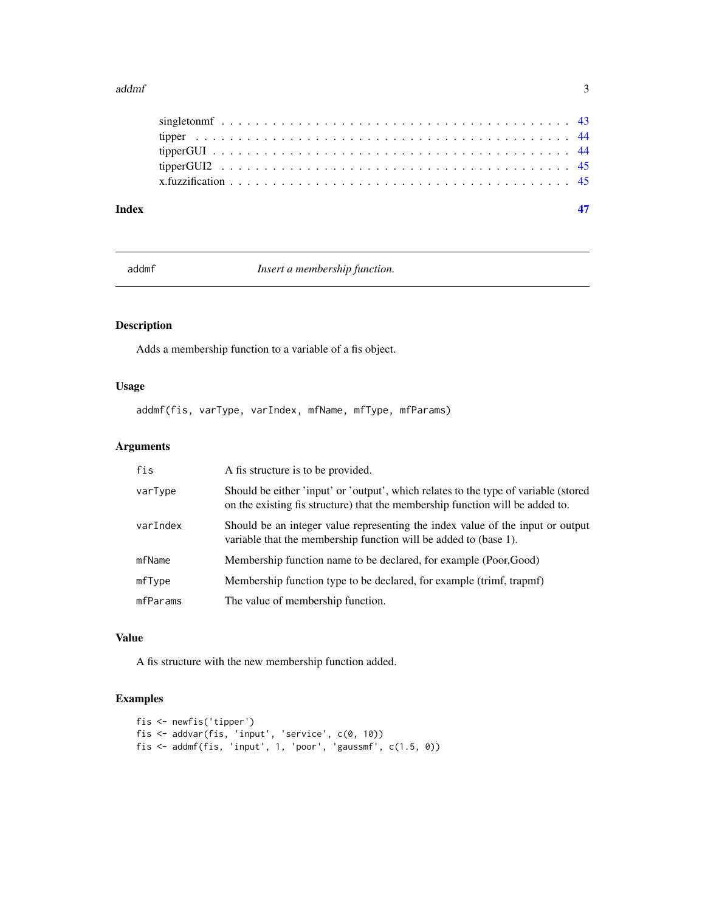#### <span id="page-2-0"></span>addmf 3

| Index |  |  |  |  |  |  |  |  |  |  |  |  |  |  |  |  |  |  |
|-------|--|--|--|--|--|--|--|--|--|--|--|--|--|--|--|--|--|--|
|       |  |  |  |  |  |  |  |  |  |  |  |  |  |  |  |  |  |  |
|       |  |  |  |  |  |  |  |  |  |  |  |  |  |  |  |  |  |  |
|       |  |  |  |  |  |  |  |  |  |  |  |  |  |  |  |  |  |  |
|       |  |  |  |  |  |  |  |  |  |  |  |  |  |  |  |  |  |  |
|       |  |  |  |  |  |  |  |  |  |  |  |  |  |  |  |  |  |  |

addmf *Insert a membership function.*

# Description

Adds a membership function to a variable of a fis object.

# Usage

addmf(fis, varType, varIndex, mfName, mfType, mfParams)

# Arguments

| fis      | A fis structure is to be provided.                                                                                                                                   |
|----------|----------------------------------------------------------------------------------------------------------------------------------------------------------------------|
| varType  | Should be either 'input' or 'output', which relates to the type of variable (stored<br>on the existing fis structure) that the membership function will be added to. |
| varIndex | Should be an integer value representing the index value of the input or output<br>variable that the membership function will be added to (base 1).                   |
| mfName   | Membership function name to be declared, for example (Poor,Good)                                                                                                     |
| mfType   | Membership function type to be declared, for example (trimf, trapmf)                                                                                                 |
| mfParams | The value of membership function.                                                                                                                                    |

# Value

A fis structure with the new membership function added.

```
fis <- newfis('tipper')
fis <- addvar(fis, 'input', 'service', c(0, 10))
fis <- addmf(fis, 'input', 1, 'poor', 'gaussmf', c(1.5, 0))
```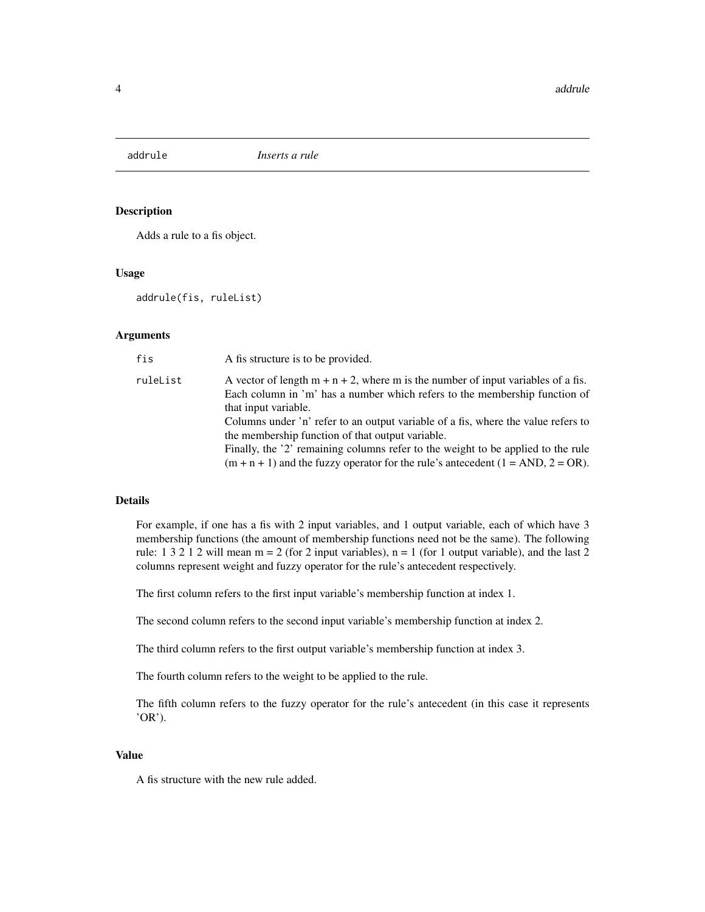<span id="page-3-0"></span>

Adds a rule to a fis object.

#### Usage

addrule(fis, ruleList)

# Arguments

| fis      | A fis structure is to be provided.                                                                                                                                                        |
|----------|-------------------------------------------------------------------------------------------------------------------------------------------------------------------------------------------|
| ruleList | A vector of length $m + n + 2$ , where m is the number of input variables of a fis.<br>Each column in 'm' has a number which refers to the membership function of<br>that input variable. |
|          | Columns under 'n' refer to an output variable of a fis, where the value refers to<br>the membership function of that output variable.                                                     |
|          | Finally, the '2' remaining columns refer to the weight to be applied to the rule<br>$(m + n + 1)$ and the fuzzy operator for the rule's antecedent $(1 = AND, 2 = OR)$ .                  |

#### Details

For example, if one has a fis with 2 input variables, and 1 output variable, each of which have 3 membership functions (the amount of membership functions need not be the same). The following rule: 1 3 2 1 2 will mean  $m = 2$  (for 2 input variables),  $n = 1$  (for 1 output variable), and the last 2 columns represent weight and fuzzy operator for the rule's antecedent respectively.

The first column refers to the first input variable's membership function at index 1.

The second column refers to the second input variable's membership function at index 2.

The third column refers to the first output variable's membership function at index 3.

The fourth column refers to the weight to be applied to the rule.

The fifth column refers to the fuzzy operator for the rule's antecedent (in this case it represents 'OR').

#### Value

A fis structure with the new rule added.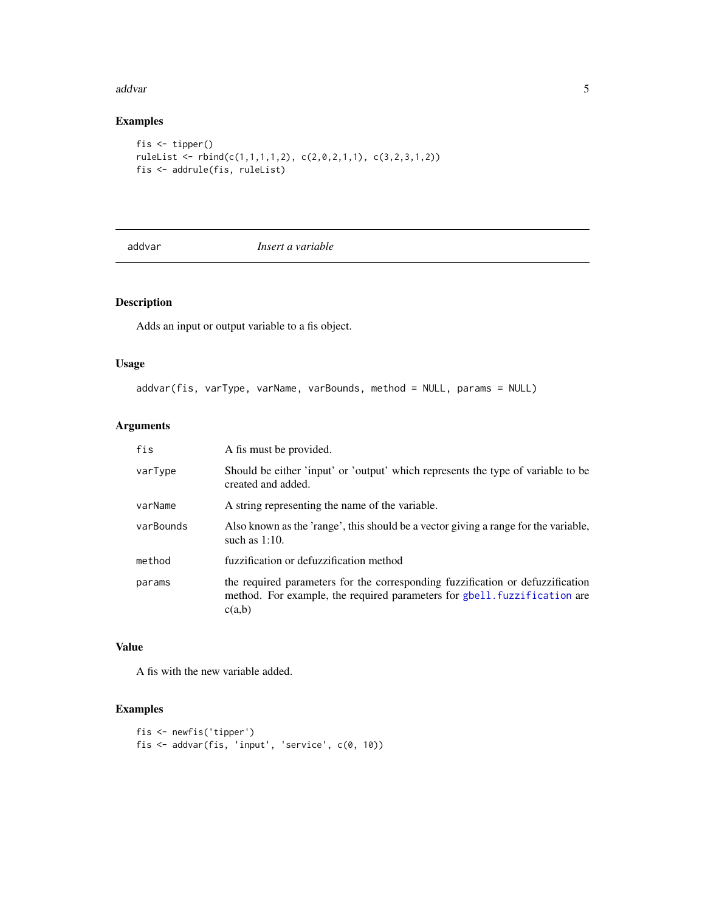#### <span id="page-4-0"></span>addvar 500 metal bestemmen i 1990 metal bestemmen i 1990 metal bestemmen i 1990 metal bestemmen i 1990 metal b

# Examples

```
fis <- tipper()
ruleList <- rbind(c(1,1,1,1,2), c(2,0,2,1,1), c(3,2,3,1,2))fis <- addrule(fis, ruleList)
```
addvar *Insert a variable*

# Description

Adds an input or output variable to a fis object.

# Usage

```
addvar(fis, varType, varName, varBounds, method = NULL, params = NULL)
```
## Arguments

| fis       | A fis must be provided.                                                                                                                                               |
|-----------|-----------------------------------------------------------------------------------------------------------------------------------------------------------------------|
| varType   | Should be either 'input' or 'output' which represents the type of variable to be<br>created and added.                                                                |
| varName   | A string representing the name of the variable.                                                                                                                       |
| varBounds | Also known as the 'range', this should be a vector giving a range for the variable,<br>such as $1:10$ .                                                               |
| method    | fuzzification or defuzzification method                                                                                                                               |
| params    | the required parameters for the corresponding fuzzification or defuzzification<br>method. For example, the required parameters for gbell. fuzzification are<br>c(a,b) |

## Value

A fis with the new variable added.

```
fis <- newfis('tipper')
fis <- addvar(fis, 'input', 'service', c(0, 10))
```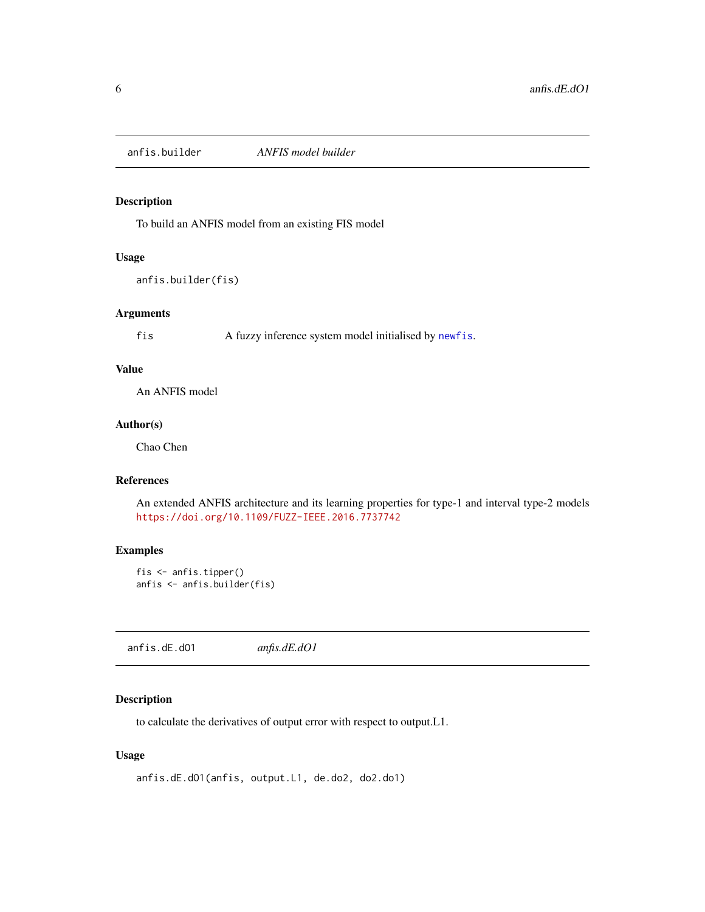<span id="page-5-0"></span>anfis.builder *ANFIS model builder*

# Description

To build an ANFIS model from an existing FIS model

# Usage

anfis.builder(fis)

# Arguments

fis A fuzzy inference system model initialised by [newfis](#page-37-1).

# Value

An ANFIS model

# Author(s)

Chao Chen

# References

An extended ANFIS architecture and its learning properties for type-1 and interval type-2 models <https://doi.org/10.1109/FUZZ-IEEE.2016.7737742>

#### Examples

```
fis <- anfis.tipper()
anfis <- anfis.builder(fis)
```
anfis.dE.dO1 *anfis.dE.dO1*

#### Description

to calculate the derivatives of output error with respect to output.L1.

# Usage

```
anfis.dE.dO1(anfis, output.L1, de.do2, do2.do1)
```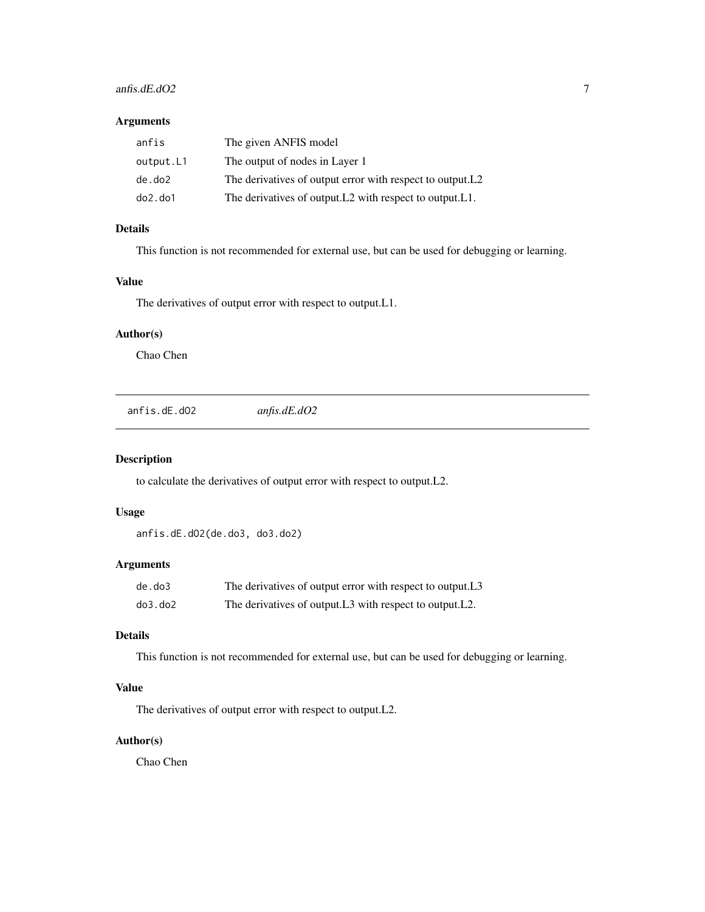# <span id="page-6-0"></span>anfis.dE.dO2 7

## Arguments

| anfis         | The given ANFIS model                                      |
|---------------|------------------------------------------------------------|
| output.L1     | The output of nodes in Layer 1                             |
| de.do2        | The derivatives of output error with respect to output. L2 |
| $do2$ . $do1$ | The derivatives of output. L2 with respect to output. L1.  |

# Details

This function is not recommended for external use, but can be used for debugging or learning.

# Value

The derivatives of output error with respect to output.L1.

# Author(s)

Chao Chen

anfis.dE.dO2 *anfis.dE.dO2*

### Description

to calculate the derivatives of output error with respect to output.L2.

# Usage

anfis.dE.dO2(de.do3, do3.do2)

# Arguments

| de.do3  | The derivatives of output error with respect to output. L3 |
|---------|------------------------------------------------------------|
| do3.do2 | The derivatives of output. L3 with respect to output. L2.  |

# Details

This function is not recommended for external use, but can be used for debugging or learning.

# Value

The derivatives of output error with respect to output.L2.

# Author(s)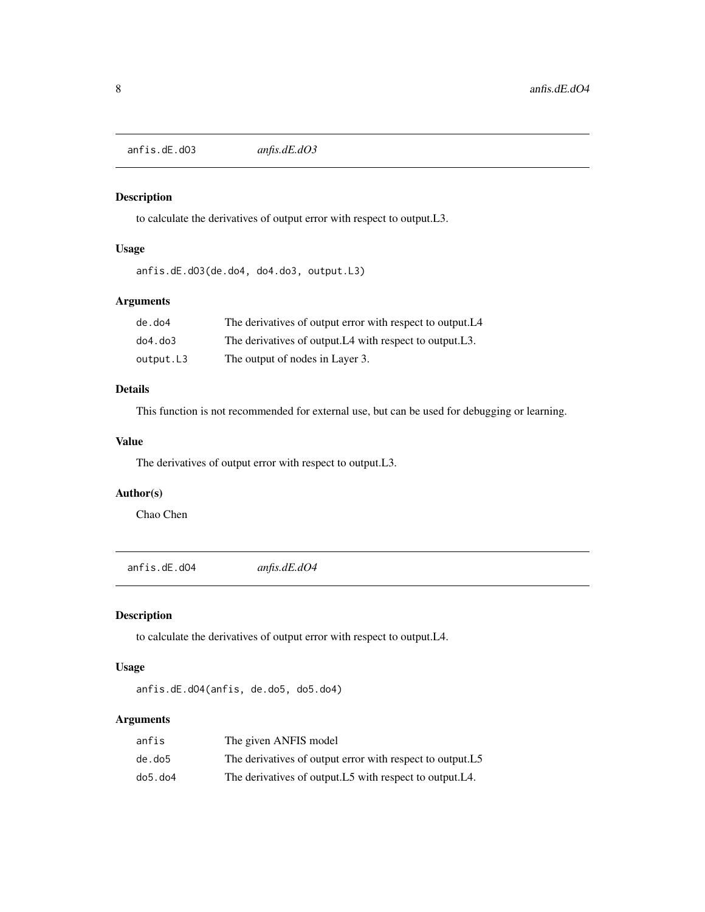<span id="page-7-0"></span>anfis.dE.dO3 *anfis.dE.dO3*

#### Description

to calculate the derivatives of output error with respect to output.L3.

## Usage

```
anfis.dE.dO3(de.do4, do4.do3, output.L3)
```
# Arguments

| de.do4        | The derivatives of output error with respect to output. L <sub>4</sub>             |
|---------------|------------------------------------------------------------------------------------|
| $do4$ . $do3$ | The derivatives of output. L <sub>4</sub> with respect to output. L <sub>3</sub> . |
| output.L3     | The output of nodes in Layer 3.                                                    |

# Details

This function is not recommended for external use, but can be used for debugging or learning.

# Value

The derivatives of output error with respect to output.L3.

# Author(s)

Chao Chen

anfis.dE.dO4 *anfis.dE.dO4*

# Description

to calculate the derivatives of output error with respect to output.L4.

# Usage

anfis.dE.dO4(anfis, de.do5, do5.do4)

# Arguments

| anfis   | The given ANFIS model                                      |
|---------|------------------------------------------------------------|
| de.do5  | The derivatives of output error with respect to output. L5 |
| do5.do4 | The derivatives of output. L5 with respect to output. L4.  |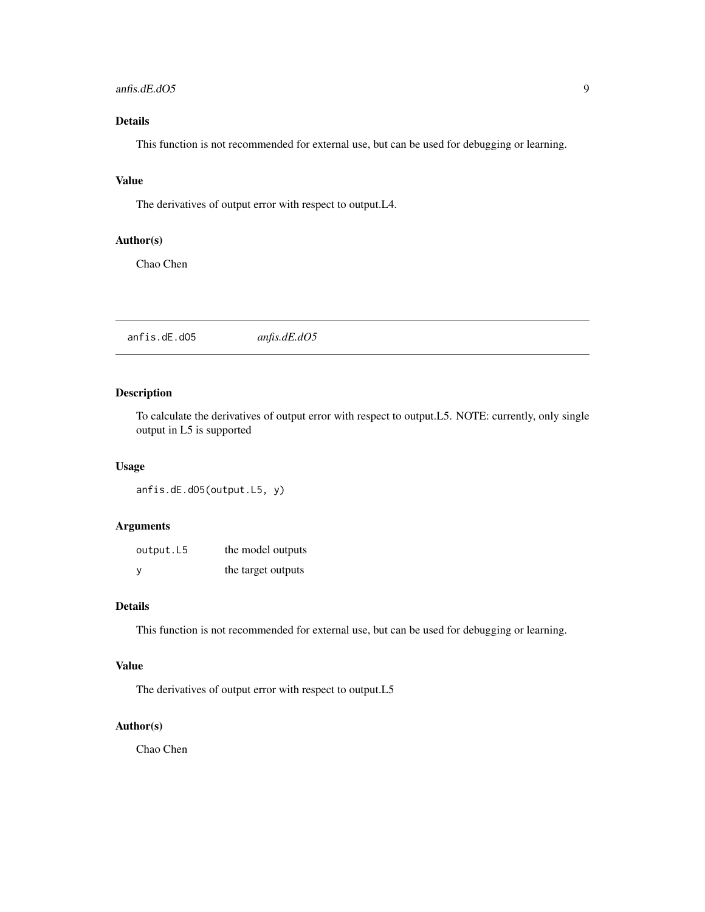#### <span id="page-8-0"></span>anfis.dE.dO5 9

# Details

This function is not recommended for external use, but can be used for debugging or learning.

#### Value

The derivatives of output error with respect to output.L4.

# Author(s)

Chao Chen

anfis.dE.dO5 *anfis.dE.dO5*

# Description

To calculate the derivatives of output error with respect to output.L5. NOTE: currently, only single output in L5 is supported

# Usage

anfis.dE.dO5(output.L5, y)

# Arguments

| output.L5 | the model outputs  |
|-----------|--------------------|
| y         | the target outputs |

## Details

This function is not recommended for external use, but can be used for debugging or learning.

# Value

The derivatives of output error with respect to output.L5

# Author(s)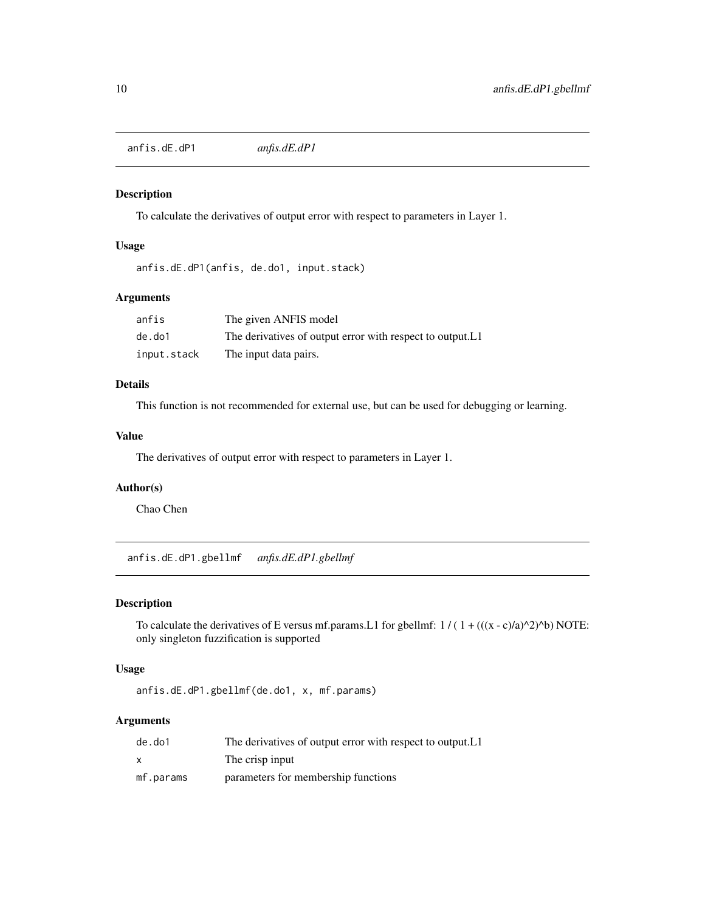<span id="page-9-0"></span>anfis.dE.dP1 *anfis.dE.dP1*

#### Description

To calculate the derivatives of output error with respect to parameters in Layer 1.

# Usage

```
anfis.dE.dP1(anfis, de.do1, input.stack)
```
# Arguments

| anfis       | The given ANFIS model                                      |
|-------------|------------------------------------------------------------|
| de.do1      | The derivatives of output error with respect to output. L1 |
| input.stack | The input data pairs.                                      |

# Details

This function is not recommended for external use, but can be used for debugging or learning.

# Value

The derivatives of output error with respect to parameters in Layer 1.

# Author(s)

Chao Chen

anfis.dE.dP1.gbellmf *anfis.dE.dP1.gbellmf*

## Description

To calculate the derivatives of E versus mf.params.L1 for gbellmf:  $1 / (1 + (((x - c)/a)^2)^b)$  NOTE: only singleton fuzzification is supported

# Usage

anfis.dE.dP1.gbellmf(de.do1, x, mf.params)

# Arguments

| de.do1    | The derivatives of output error with respect to output. L1 |
|-----------|------------------------------------------------------------|
| x         | The crisp input                                            |
| mf.params | parameters for membership functions                        |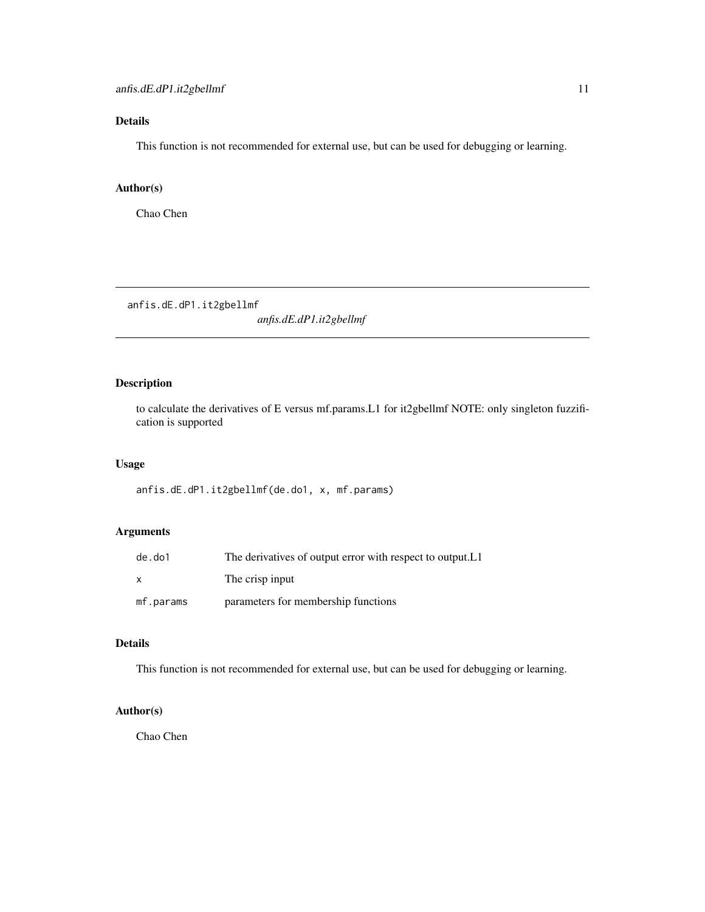# <span id="page-10-0"></span>Details

This function is not recommended for external use, but can be used for debugging or learning.

#### Author(s)

Chao Chen

anfis.dE.dP1.it2gbellmf

*anfis.dE.dP1.it2gbellmf*

# Description

to calculate the derivatives of E versus mf.params.L1 for it2gbellmf NOTE: only singleton fuzzification is supported

#### Usage

anfis.dE.dP1.it2gbellmf(de.do1, x, mf.params)

# Arguments

| de.do1    | The derivatives of output error with respect to output. L1 |
|-----------|------------------------------------------------------------|
| x         | The crisp input                                            |
| mf.params | parameters for membership functions                        |

#### Details

This function is not recommended for external use, but can be used for debugging or learning.

# Author(s)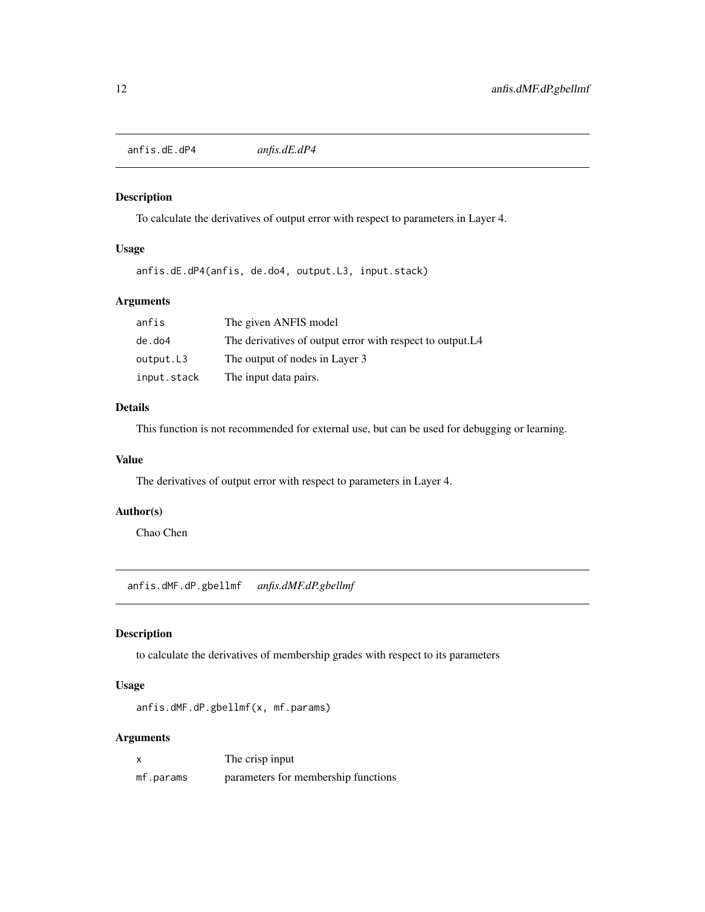<span id="page-11-0"></span>anfis.dE.dP4 *anfis.dE.dP4*

## Description

To calculate the derivatives of output error with respect to parameters in Layer 4.

#### Usage

anfis.dE.dP4(anfis, de.do4, output.L3, input.stack)

# Arguments

| anfis       | The given ANFIS model                                                  |
|-------------|------------------------------------------------------------------------|
| de.do4      | The derivatives of output error with respect to output. L <sub>4</sub> |
| output.L3   | The output of nodes in Layer 3                                         |
| input.stack | The input data pairs.                                                  |

#### Details

This function is not recommended for external use, but can be used for debugging or learning.

#### Value

The derivatives of output error with respect to parameters in Layer 4.

# Author(s)

Chao Chen

anfis.dMF.dP.gbellmf *anfis.dMF.dP.gbellmf*

# Description

to calculate the derivatives of membership grades with respect to its parameters

# Usage

anfis.dMF.dP.gbellmf(x, mf.params)

# Arguments

| x         | The crisp input                     |
|-----------|-------------------------------------|
| mf.params | parameters for membership functions |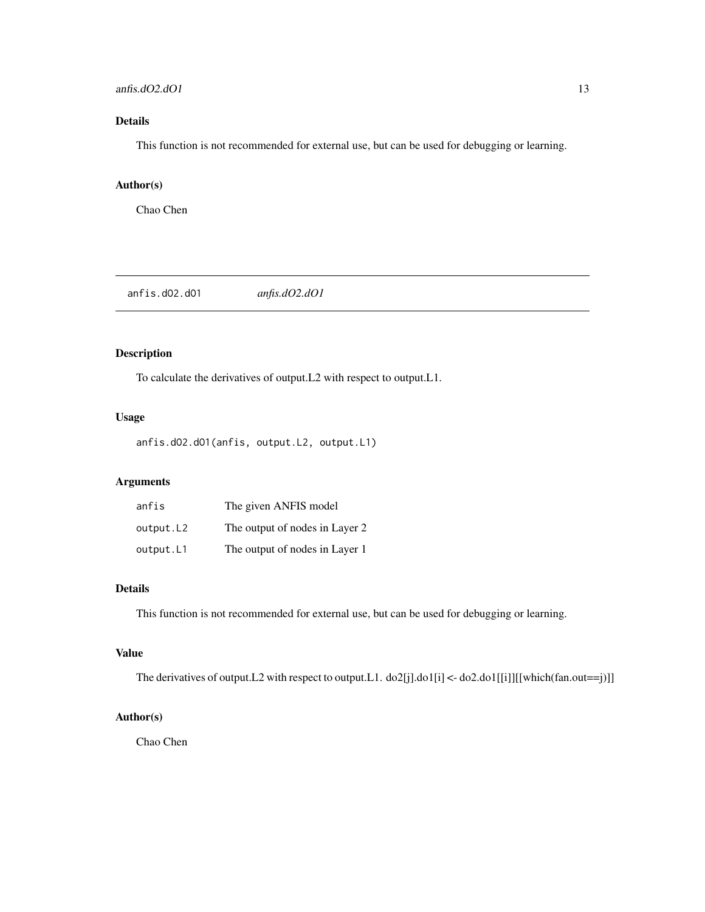#### <span id="page-12-0"></span>anfis.dO2.dO1 13

# Details

This function is not recommended for external use, but can be used for debugging or learning.

# Author(s)

Chao Chen

anfis.dO2.dO1 *anfis.dO2.dO1*

# Description

To calculate the derivatives of output.L2 with respect to output.L1.

# Usage

anfis.dO2.dO1(anfis, output.L2, output.L1)

# Arguments

| anfis     | The given ANFIS model          |
|-----------|--------------------------------|
| output.L2 | The output of nodes in Layer 2 |
| output.L1 | The output of nodes in Layer 1 |

# Details

This function is not recommended for external use, but can be used for debugging or learning.

# Value

The derivatives of output.L2 with respect to output.L1. do2[j].do1[i] <- do2.do1[[i]][[which(fan.out==j)]]

## Author(s)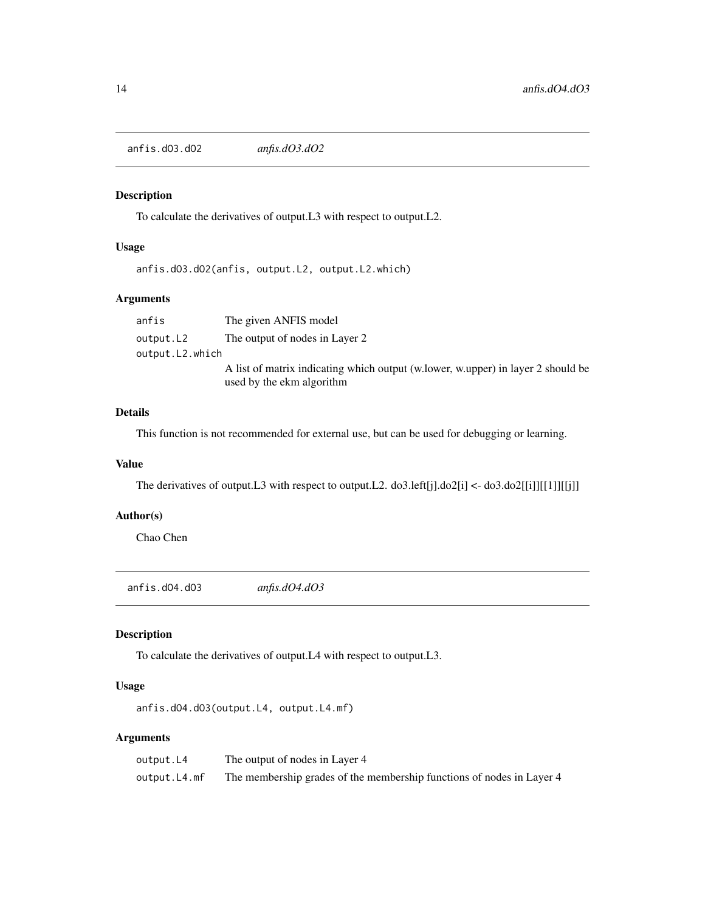<span id="page-13-0"></span>anfis.dO3.dO2 *anfis.dO3.dO2*

# Description

To calculate the derivatives of output.L3 with respect to output.L2.

# Usage

anfis.dO3.dO2(anfis, output.L2, output.L2.which)

# Arguments

anfis The given ANFIS model output.L2 The output of nodes in Layer 2 output.L2.which A list of matrix indicating which output (w.lower, w.upper) in layer 2 should be used by the ekm algorithm

# Details

This function is not recommended for external use, but can be used for debugging or learning.

#### Value

The derivatives of output.L3 with respect to output.L2.  $d\sigma$ 3.left[j]. $d\sigma$ 2[i] <-  $d\sigma$ 3.do2[[i]][[1]][[j]]

## Author(s)

Chao Chen

anfis.dO4.dO3 *anfis.dO4.dO3*

# Description

To calculate the derivatives of output.L4 with respect to output.L3.

#### Usage

anfis.dO4.dO3(output.L4, output.L4.mf)

#### Arguments

| output.L4    | The output of nodes in Layer 4                                        |
|--------------|-----------------------------------------------------------------------|
| output.L4.mf | The membership grades of the membership functions of nodes in Layer 4 |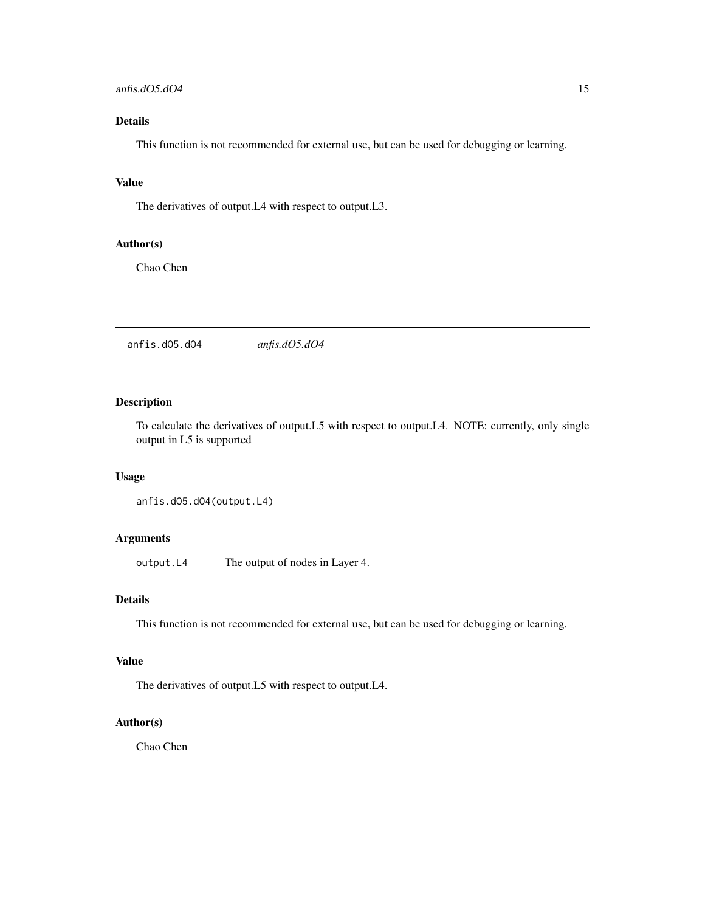#### <span id="page-14-0"></span>anfis.dO5.dO4 15

# Details

This function is not recommended for external use, but can be used for debugging or learning.

#### Value

The derivatives of output.L4 with respect to output.L3.

# Author(s)

Chao Chen

anfis.dO5.dO4 *anfis.dO5.dO4*

# Description

To calculate the derivatives of output.L5 with respect to output.L4. NOTE: currently, only single output in L5 is supported

#### Usage

anfis.dO5.dO4(output.L4)

# Arguments

output.L4 The output of nodes in Layer 4.

# Details

This function is not recommended for external use, but can be used for debugging or learning.

# Value

The derivatives of output.L5 with respect to output.L4.

# Author(s)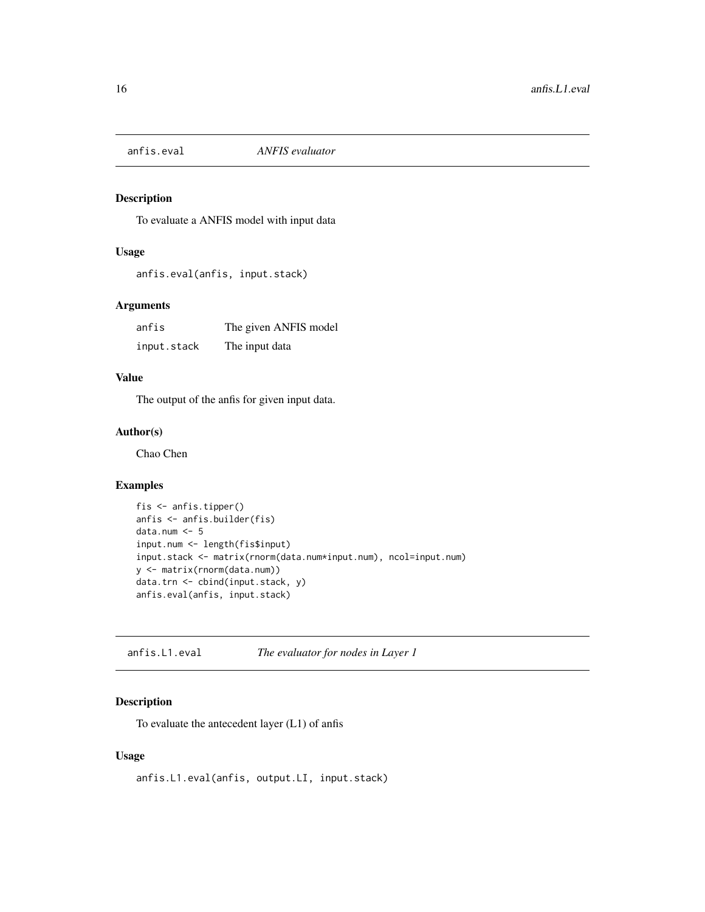<span id="page-15-1"></span><span id="page-15-0"></span>

To evaluate a ANFIS model with input data

# Usage

```
anfis.eval(anfis, input.stack)
```
#### Arguments

| anfis       | The given ANFIS model |
|-------------|-----------------------|
| input.stack | The input data        |

# Value

The output of the anfis for given input data.

# Author(s)

Chao Chen

#### Examples

```
fis <- anfis.tipper()
anfis <- anfis.builder(fis)
data.num <- 5
input.num <- length(fis$input)
input.stack <- matrix(rnorm(data.num*input.num), ncol=input.num)
y <- matrix(rnorm(data.num))
data.trn <- cbind(input.stack, y)
anfis.eval(anfis, input.stack)
```
anfis.L1.eval *The evaluator for nodes in Layer 1*

## Description

To evaluate the antecedent layer (L1) of anfis

# Usage

anfis.L1.eval(anfis, output.LI, input.stack)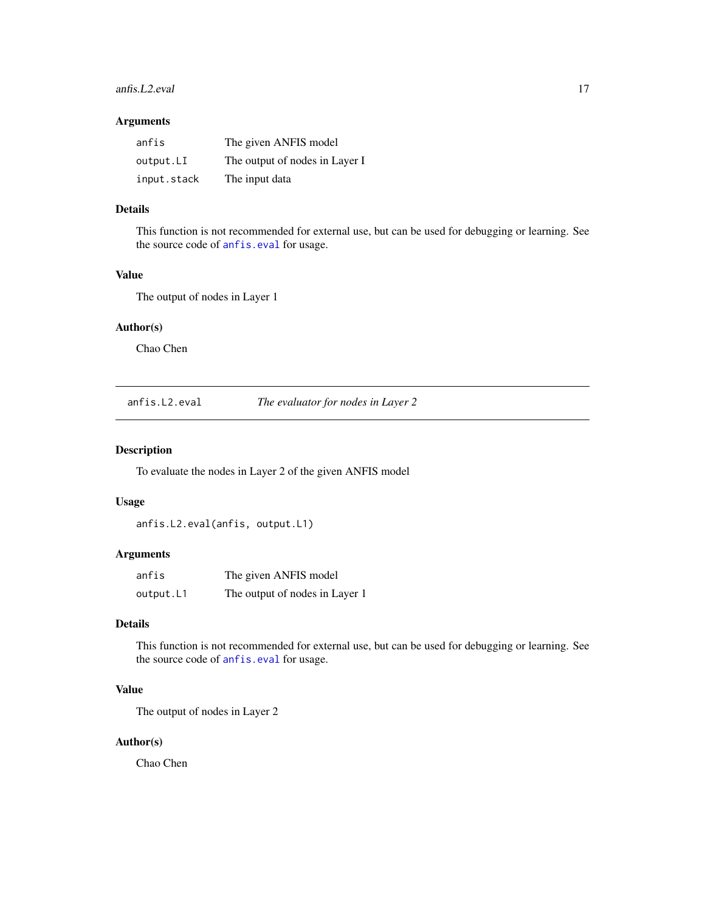#### <span id="page-16-0"></span>anfis.L2.eval 17

### Arguments

| anfis       | The given ANFIS model          |
|-------------|--------------------------------|
| output.LI   | The output of nodes in Layer I |
| input.stack | The input data                 |

### Details

This function is not recommended for external use, but can be used for debugging or learning. See the source code of [anfis.eval](#page-15-1) for usage.

# Value

The output of nodes in Layer 1

# Author(s)

Chao Chen

anfis.L2.eval *The evaluator for nodes in Layer 2*

# Description

To evaluate the nodes in Layer 2 of the given ANFIS model

#### Usage

```
anfis.L2.eval(anfis, output.L1)
```
# Arguments

| anfis     | The given ANFIS model          |
|-----------|--------------------------------|
| output.L1 | The output of nodes in Layer 1 |

# Details

This function is not recommended for external use, but can be used for debugging or learning. See the source code of [anfis.eval](#page-15-1) for usage.

# Value

The output of nodes in Layer 2

#### Author(s)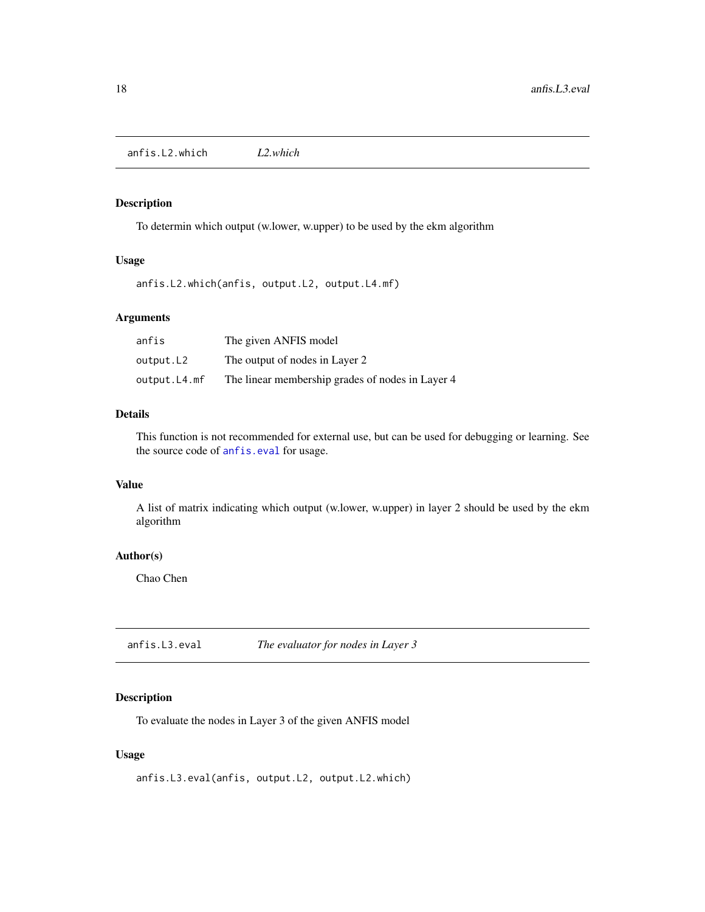<span id="page-17-0"></span>anfis.L2.which *L2.which*

## Description

To determin which output (w.lower, w.upper) to be used by the ekm algorithm

# Usage

anfis.L2.which(anfis, output.L2, output.L4.mf)

# Arguments

| anfis        | The given ANFIS model                            |
|--------------|--------------------------------------------------|
| output.L2    | The output of nodes in Layer 2                   |
| output.L4.mf | The linear membership grades of nodes in Layer 4 |

## Details

This function is not recommended for external use, but can be used for debugging or learning. See the source code of [anfis.eval](#page-15-1) for usage.

# Value

A list of matrix indicating which output (w.lower, w.upper) in layer 2 should be used by the ekm algorithm

#### Author(s)

Chao Chen

anfis.L3.eval *The evaluator for nodes in Layer 3*

# Description

To evaluate the nodes in Layer 3 of the given ANFIS model

# Usage

anfis.L3.eval(anfis, output.L2, output.L2.which)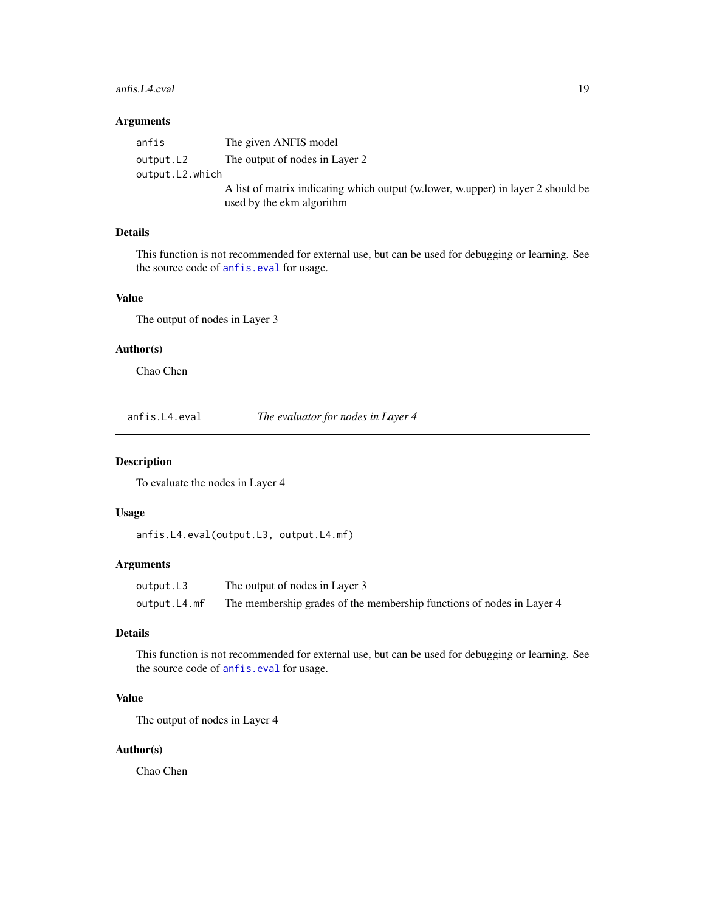#### <span id="page-18-0"></span>anfis.L4.eval 19

### Arguments

| anfis           | The given ANFIS model                                                            |
|-----------------|----------------------------------------------------------------------------------|
| output.L2       | The output of nodes in Layer 2                                                   |
| output.L2.which |                                                                                  |
|                 | A list of matrix indicating which output (w.lower, w.upper) in layer 2 should be |
|                 | used by the ekm algorithm                                                        |

# Details

This function is not recommended for external use, but can be used for debugging or learning. See the source code of [anfis.eval](#page-15-1) for usage.

# Value

The output of nodes in Layer 3

# Author(s)

Chao Chen

anfis.L4.eval *The evaluator for nodes in Layer 4*

# Description

To evaluate the nodes in Layer 4

#### Usage

```
anfis.L4.eval(output.L3, output.L4.mf)
```
## Arguments

output.L3 The output of nodes in Layer 3 output.L4.mf The membership grades of the membership functions of nodes in Layer 4

## Details

This function is not recommended for external use, but can be used for debugging or learning. See the source code of [anfis.eval](#page-15-1) for usage.

#### Value

The output of nodes in Layer 4

#### Author(s)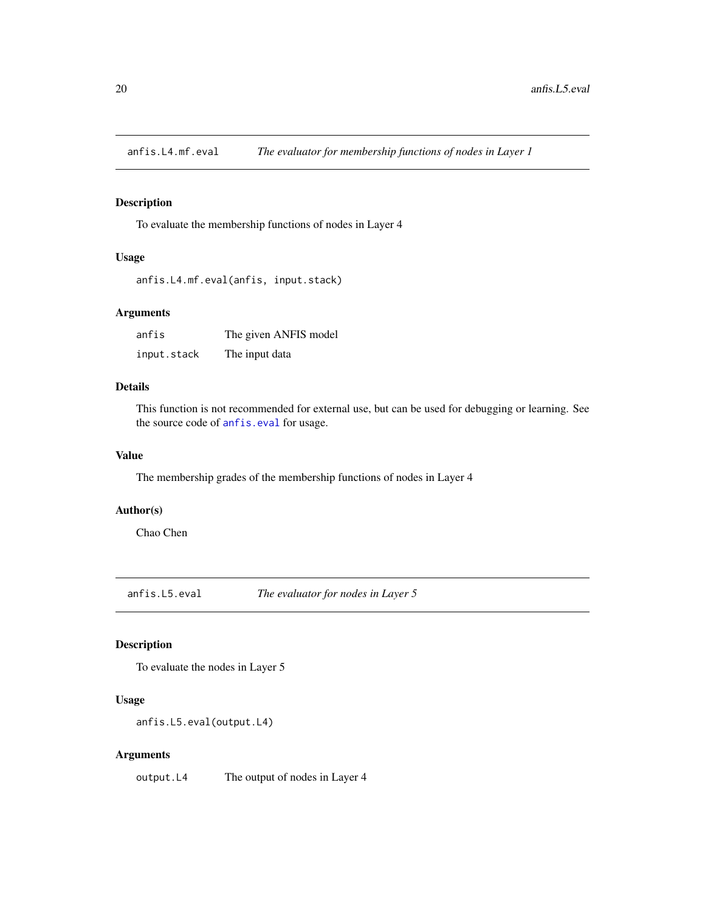<span id="page-19-0"></span>

To evaluate the membership functions of nodes in Layer 4

# Usage

```
anfis.L4.mf.eval(anfis, input.stack)
```
# Arguments

| anfis       | The given ANFIS model |
|-------------|-----------------------|
| input.stack | The input data        |

# Details

This function is not recommended for external use, but can be used for debugging or learning. See the source code of [anfis.eval](#page-15-1) for usage.

# Value

The membership grades of the membership functions of nodes in Layer 4

# Author(s)

Chao Chen

anfis.L5.eval *The evaluator for nodes in Layer 5*

# Description

To evaluate the nodes in Layer 5

# Usage

```
anfis.L5.eval(output.L4)
```
# Arguments

output.L4 The output of nodes in Layer 4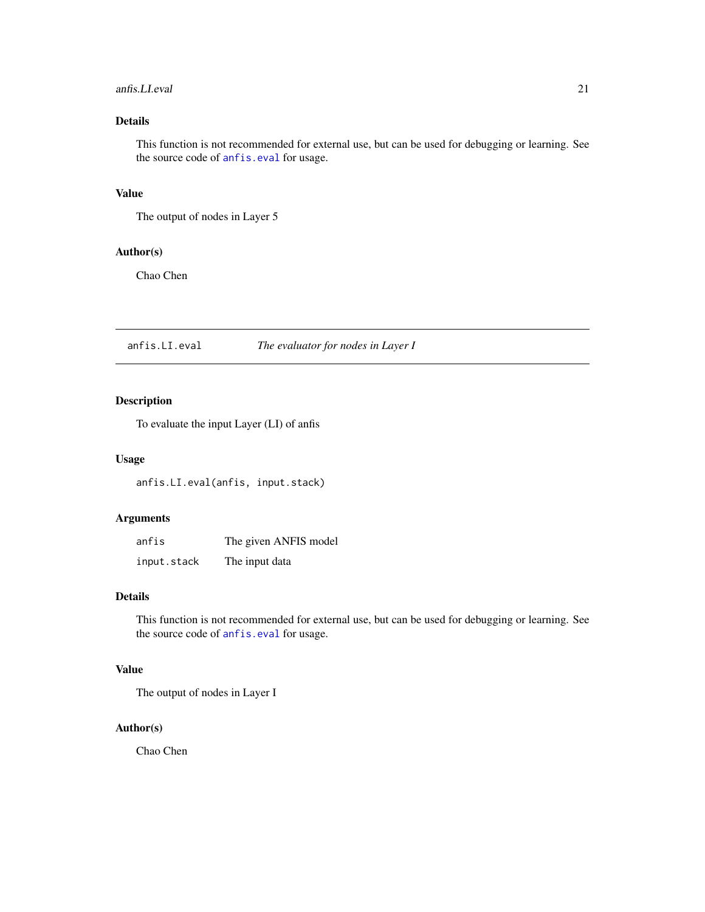# <span id="page-20-0"></span>anfis.LI.eval 21

# Details

This function is not recommended for external use, but can be used for debugging or learning. See the source code of [anfis.eval](#page-15-1) for usage.

# Value

The output of nodes in Layer 5

#### Author(s)

Chao Chen

anfis.LI.eval *The evaluator for nodes in Layer I*

# Description

To evaluate the input Layer (LI) of anfis

#### Usage

anfis.LI.eval(anfis, input.stack)

# Arguments

| anfis       | The given ANFIS model |
|-------------|-----------------------|
| input.stack | The input data        |

#### Details

This function is not recommended for external use, but can be used for debugging or learning. See the source code of [anfis.eval](#page-15-1) for usage.

# Value

The output of nodes in Layer I

# Author(s)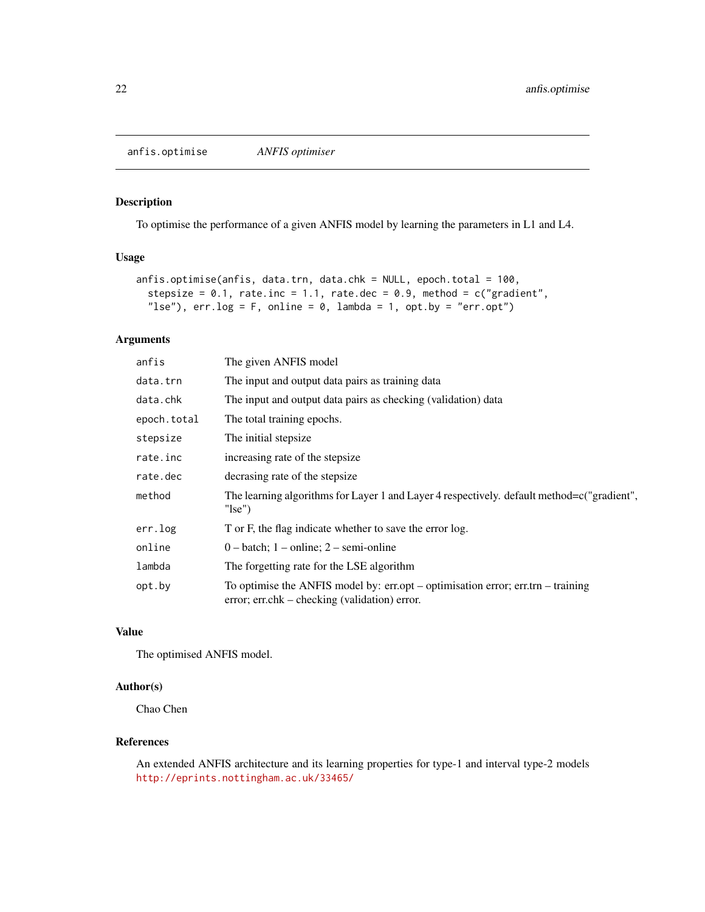<span id="page-21-0"></span>anfis.optimise *ANFIS optimiser*

# Description

To optimise the performance of a given ANFIS model by learning the parameters in L1 and L4.

#### Usage

```
anfis.optimise(anfis, data.trn, data.chk = NULL, epoch.total = 100,
  stepsize = 0.1, rate.inc = 1.1, rate.dec = 0.9, method = c("gradient","lse"), err.log = F, online = 0, lambda = 1, opt.by = "err,opt")
```
# Arguments

| anfis       | The given ANFIS model                                                                                                                |
|-------------|--------------------------------------------------------------------------------------------------------------------------------------|
| data.trn    | The input and output data pairs as training data                                                                                     |
| data.chk    | The input and output data pairs as checking (validation) data                                                                        |
| epoch.total | The total training epochs.                                                                                                           |
| stepsize    | The initial stepsize.                                                                                                                |
| rate.inc    | increasing rate of the stepsize                                                                                                      |
| rate.dec    | decrasing rate of the stepsize                                                                                                       |
| method      | The learning algorithms for Layer 1 and Layer 4 respectively. default method= $c$ ("gradient",<br>" $\text{lse}$ ")                  |
| err.log     | T or F, the flag indicate whether to save the error log.                                                                             |
| online      | $0$ – batch; 1 – online; 2 – semi-online                                                                                             |
| lambda      | The forgetting rate for the LSE algorithm                                                                                            |
| opt.by      | To optimise the ANFIS model by: $err,opt -$ optimisation error; $err.tr -$ training<br>error; err.chk – checking (validation) error. |

#### Value

The optimised ANFIS model.

## Author(s)

Chao Chen

# References

An extended ANFIS architecture and its learning properties for type-1 and interval type-2 models <http://eprints.nottingham.ac.uk/33465/>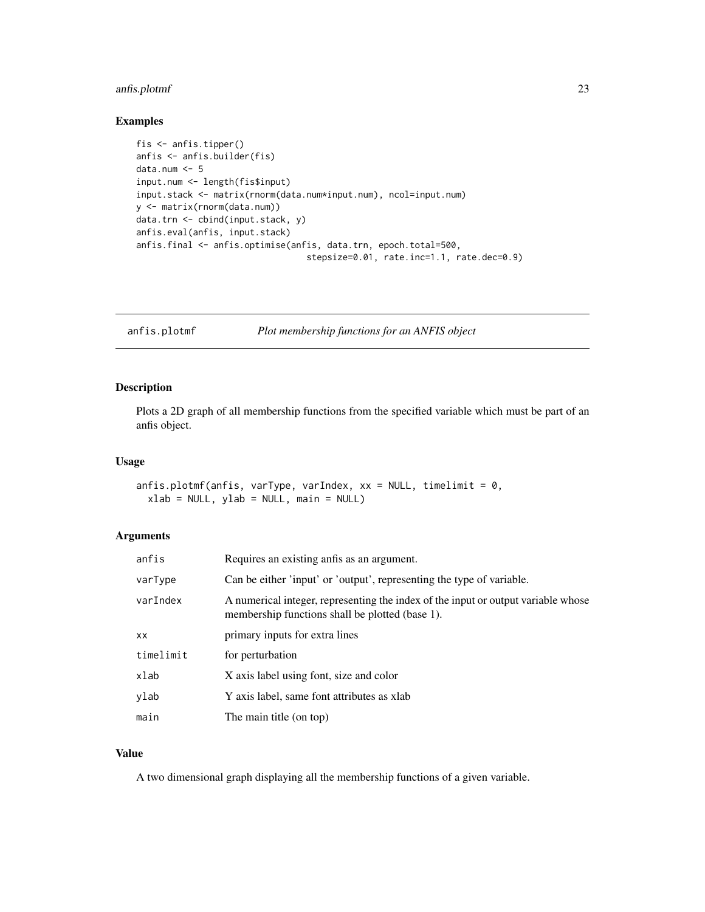# <span id="page-22-0"></span>anfis.plotmf 23

# Examples

```
fis <- anfis.tipper()
anfis <- anfis.builder(fis)
data.num <- 5
input.num <- length(fis$input)
input.stack <- matrix(rnorm(data.num*input.num), ncol=input.num)
y <- matrix(rnorm(data.num))
data.trn <- cbind(input.stack, y)
anfis.eval(anfis, input.stack)
anfis.final <- anfis.optimise(anfis, data.trn, epoch.total=500,
                                 stepsize=0.01, rate.inc=1.1, rate.dec=0.9)
```
anfis.plotmf *Plot membership functions for an ANFIS object*

#### Description

Plots a 2D graph of all membership functions from the specified variable which must be part of an anfis object.

## Usage

```
anfis.plotmf(anfis, varType, varIndex, xx = NULL, timelimit = 0,
  xlab = NULL, ylab = NULL, main = NULL)
```
#### Arguments

| anfis     | Requires an existing antis as an argument.                                                                                           |
|-----------|--------------------------------------------------------------------------------------------------------------------------------------|
| varType   | Can be either 'input' or 'output', representing the type of variable.                                                                |
| varIndex  | A numerical integer, representing the index of the input or output variable whose<br>membership functions shall be plotted (base 1). |
| XX        | primary inputs for extra lines                                                                                                       |
| timelimit | for perturbation                                                                                                                     |
| xlab      | X axis label using font, size and color                                                                                              |
| vlab      | Y axis label, same font attributes as xlab                                                                                           |
| main      | The main title (on top)                                                                                                              |

# Value

A two dimensional graph displaying all the membership functions of a given variable.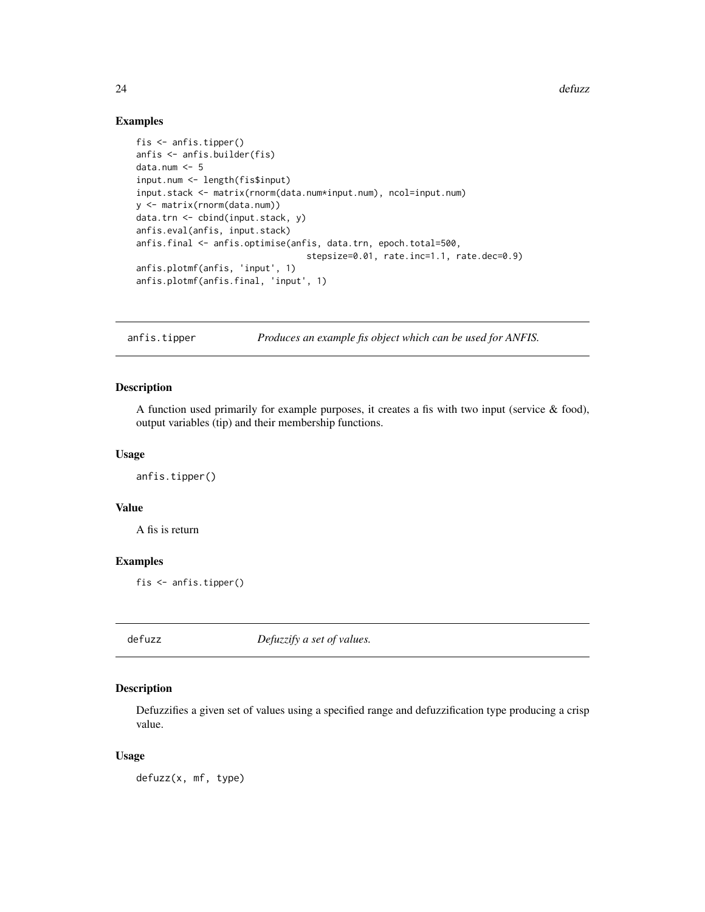24 defuzz

#### Examples

```
fis <- anfis.tipper()
anfis <- anfis.builder(fis)
data.num <- 5
input.num <- length(fis$input)
input.stack <- matrix(rnorm(data.num*input.num), ncol=input.num)
y <- matrix(rnorm(data.num))
data.trn <- cbind(input.stack, y)
anfis.eval(anfis, input.stack)
anfis.final <- anfis.optimise(anfis, data.trn, epoch.total=500,
                                 stepsize=0.01, rate.inc=1.1, rate.dec=0.9)
anfis.plotmf(anfis, 'input', 1)
anfis.plotmf(anfis.final, 'input', 1)
```
anfis.tipper *Produces an example fis object which can be used for ANFIS.*

#### Description

A function used primarily for example purposes, it creates a fis with two input (service & food), output variables (tip) and their membership functions.

# Usage

anfis.tipper()

# Value

A fis is return

#### Examples

fis <- anfis.tipper()

defuzz *Defuzzify a set of values.*

#### Description

Defuzzifies a given set of values using a specified range and defuzzification type producing a crisp value.

# Usage

defuzz(x, mf, type)

<span id="page-23-0"></span>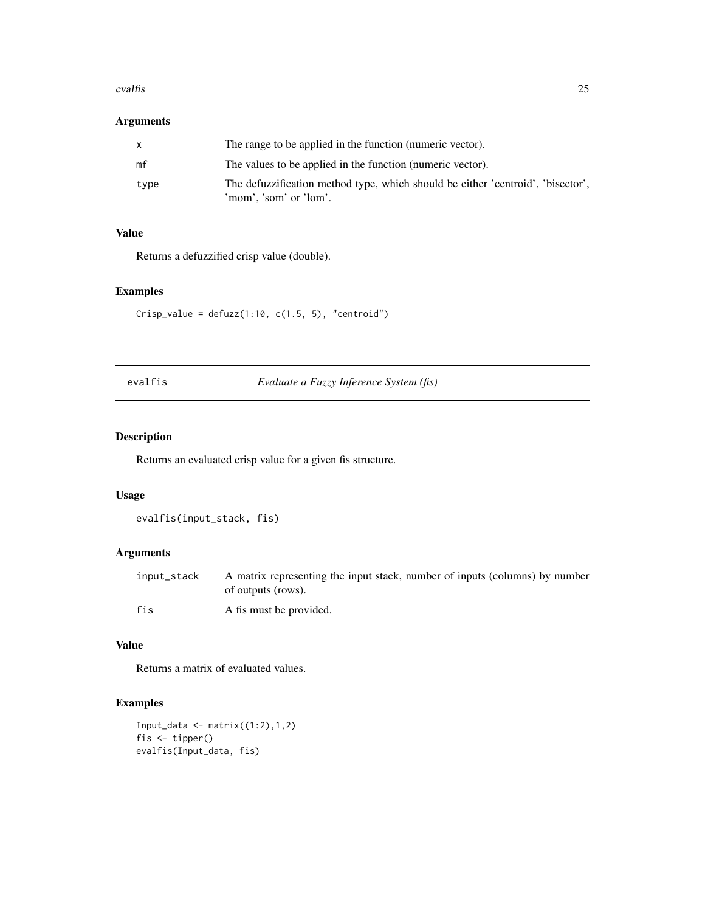#### <span id="page-24-0"></span>evalfis 25

# Arguments

|      | The range to be applied in the function (numeric vector).                                                 |
|------|-----------------------------------------------------------------------------------------------------------|
| mf   | The values to be applied in the function (numeric vector).                                                |
| type | The defuzzification method type, which should be either 'centroid', 'bisector',<br>'mom', 'som' or 'lom'. |

# Value

Returns a defuzzified crisp value (double).

# Examples

 $Crisp_value = defuzz(1:10, c(1.5, 5), "centroid")$ 

evalfis *Evaluate a Fuzzy Inference System (fis)*

# Description

Returns an evaluated crisp value for a given fis structure.

# Usage

evalfis(input\_stack, fis)

# Arguments

| input_stack | A matrix representing the input stack, number of inputs (columns) by number<br>of outputs (rows). |
|-------------|---------------------------------------------------------------------------------------------------|
| fis         | A fis must be provided.                                                                           |

#### Value

Returns a matrix of evaluated values.

```
Input_data <- matrix((1:2),1,2)fis <- tipper()
evalfis(Input_data, fis)
```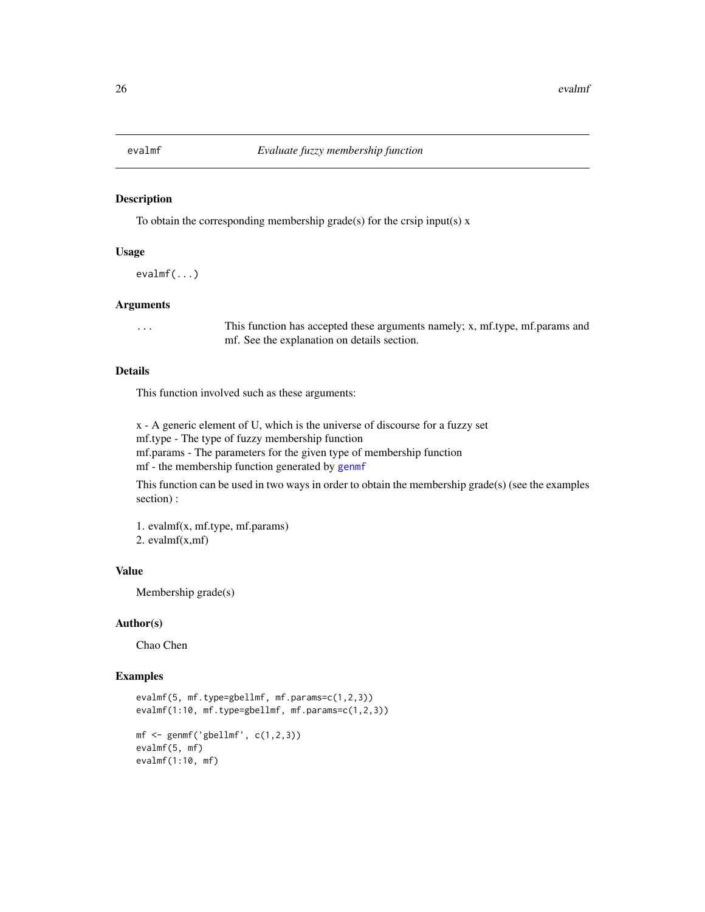<span id="page-25-0"></span>

To obtain the corresponding membership grade(s) for the crsip input(s)  $x$ 

#### Usage

evalmf(...)

## Arguments

... This function has accepted these arguments namely; x, mf.type, mf.params and mf. See the explanation on details section.

#### Details

This function involved such as these arguments:

x - A generic element of U, which is the universe of discourse for a fuzzy set mf.type - The type of fuzzy membership function mf.params - The parameters for the given type of membership function mf - the membership function generated by [genmf](#page-34-1)

This function can be used in two ways in order to obtain the membership grade(s) (see the examples section) :

1. evalmf(x, mf.type, mf.params) 2. evalmf(x,mf)

#### Value

Membership grade(s)

#### Author(s)

Chao Chen

```
evalmf(5, mf.type=gbellmf, mf.params=c(1,2,3))
evalmf(1:10, mf.type=gbellmf, mf.params=c(1,2,3))
mf \leq genmf('gbellmf', c(1,2,3))
evalmf(5, mf)
evalmf(1:10, mf)
```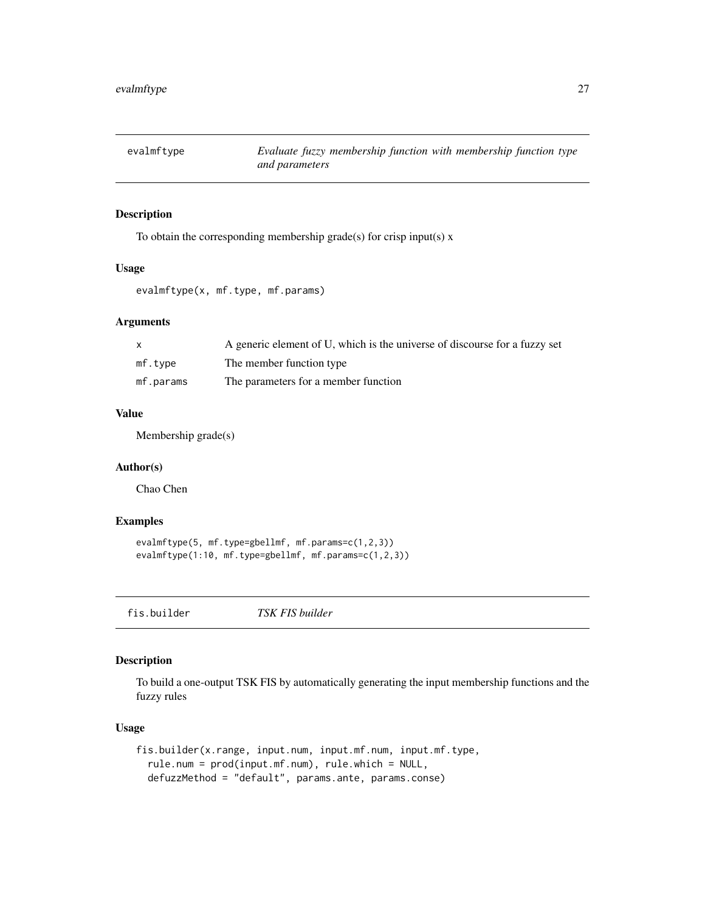<span id="page-26-0"></span>

To obtain the corresponding membership grade(s) for crisp input(s)  $x$ 

#### Usage

evalmftype(x, mf.type, mf.params)

# Arguments

|           | A generic element of U, which is the universe of discourse for a fuzzy set |
|-----------|----------------------------------------------------------------------------|
| mf.type   | The member function type                                                   |
| mf.params | The parameters for a member function                                       |

# Value

Membership grade(s)

#### Author(s)

Chao Chen

# Examples

```
evalmftype(5, mf.type=gbellmf, mf.params=c(1,2,3))
evalmftype(1:10, mf.type=gbellmf, mf.params=c(1,2,3))
```
fis.builder *TSK FIS builder*

## Description

To build a one-output TSK FIS by automatically generating the input membership functions and the fuzzy rules

#### Usage

```
fis.builder(x.range, input.num, input.mf.num, input.mf.type,
  rule.num = prod(input.mf.num), rule.which = NULL,
  defuzzMethod = "default", params.ante, params.conse)
```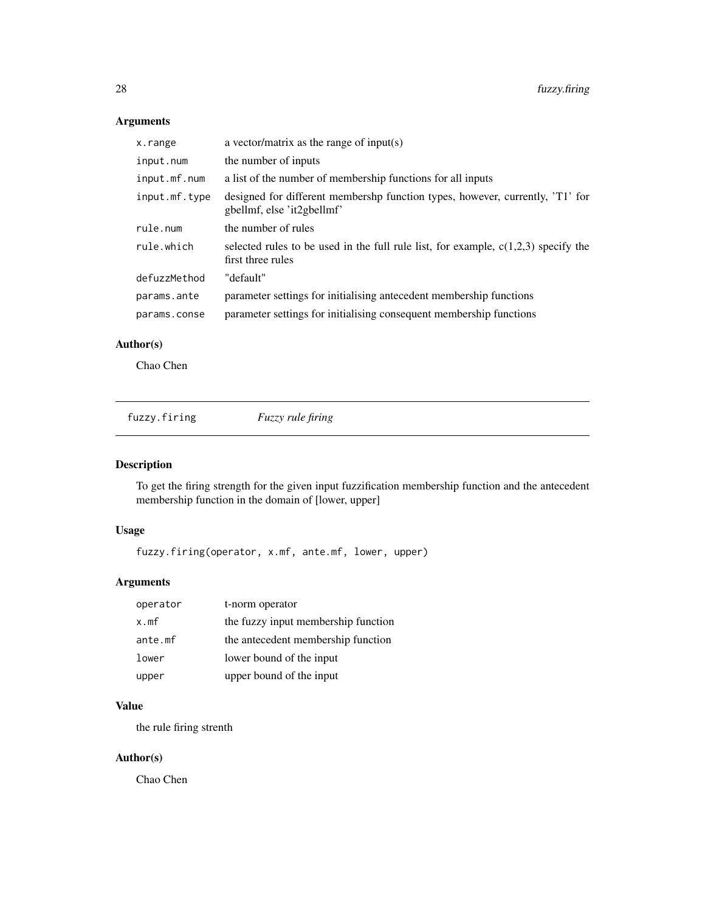# Arguments

| x.range       | a vector/matrix as the range of input(s)                                                                    |
|---------------|-------------------------------------------------------------------------------------------------------------|
| input.num     | the number of inputs                                                                                        |
| input.mf.num  | a list of the number of membership functions for all inputs                                                 |
| input.mf.type | designed for different membershp function types, however, currently, 'T1' for<br>gbellmf, else 'it2gbellmf' |
| rule.num      | the number of rules                                                                                         |
| rule.which    | selected rules to be used in the full rule list, for example, $c(1,2,3)$ specify the<br>first three rules   |
| defuzzMethod  | "default"                                                                                                   |
| params.ante   | parameter settings for initialising antecedent membership functions                                         |
| params.conse  | parameter settings for initialising consequent membership functions                                         |

# Author(s)

Chao Chen

fuzzy.firing *Fuzzy rule firing*

# Description

To get the firing strength for the given input fuzzification membership function and the antecedent membership function in the domain of [lower, upper]

# Usage

fuzzy.firing(operator, x.mf, ante.mf, lower, upper)

# Arguments

| operator | t-norm operator                     |
|----------|-------------------------------------|
| x.mf     | the fuzzy input membership function |
| ante.mf  | the antecedent membership function  |
| lower    | lower bound of the input            |
| upper    | upper bound of the input            |

# Value

the rule firing strenth

# Author(s)

<span id="page-27-0"></span>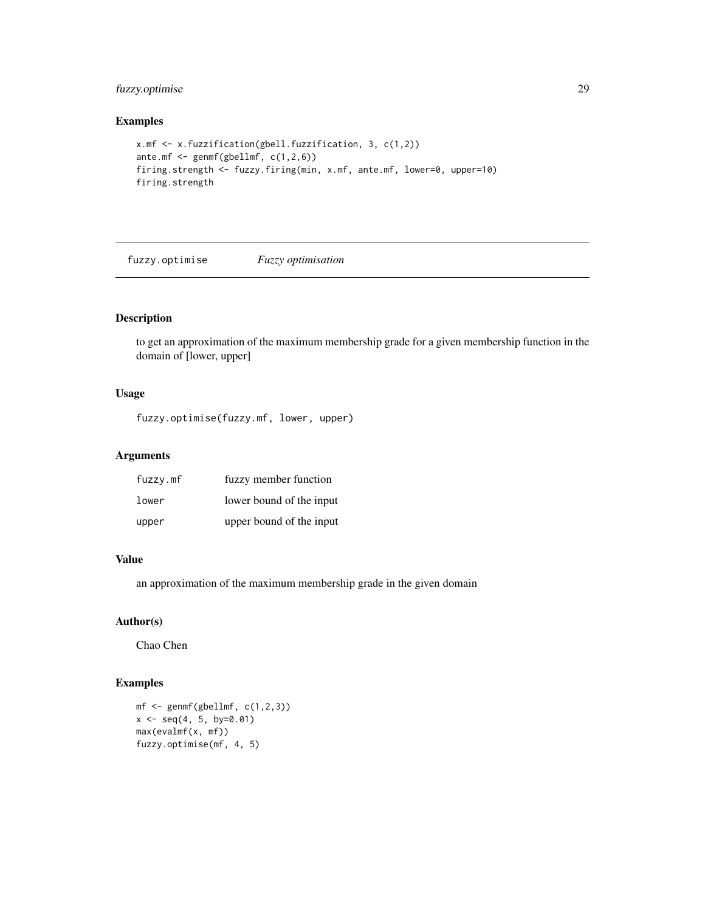# <span id="page-28-0"></span>fuzzy.optimise 29

## Examples

```
x.mf <- x.fuzzification(gbell.fuzzification, 3, c(1,2))
ante.mf <- genmf(gbellmf, c(1,2,6))
firing.strength <- fuzzy.firing(min, x.mf, ante.mf, lower=0, upper=10)
firing.strength
```
fuzzy.optimise *Fuzzy optimisation*

# Description

to get an approximation of the maximum membership grade for a given membership function in the domain of [lower, upper]

# Usage

fuzzy.optimise(fuzzy.mf, lower, upper)

# Arguments

| fuzzy.mf | fuzzy member function    |
|----------|--------------------------|
| lower    | lower bound of the input |
| upper    | upper bound of the input |

## Value

an approximation of the maximum membership grade in the given domain

## Author(s)

Chao Chen

```
mf \leftarrow gemmf(gbellmf, c(1,2,3))x \leq -\text{seq}(4, 5, \text{ by=0.01})max(evalmf(x, mf))
fuzzy.optimise(mf, 4, 5)
```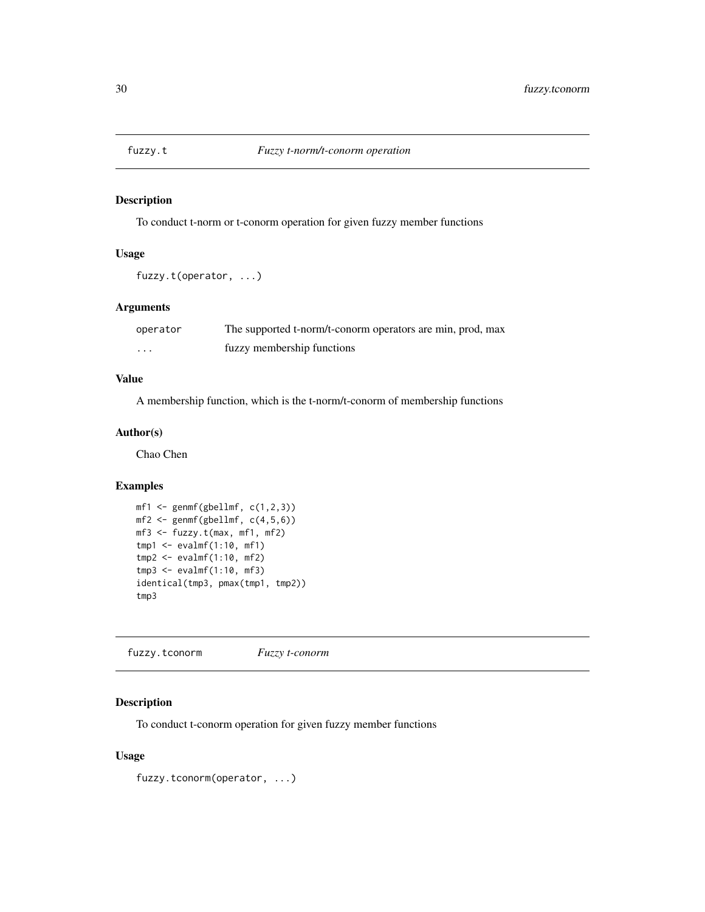<span id="page-29-0"></span>

To conduct t-norm or t-conorm operation for given fuzzy member functions

# Usage

```
fuzzy.t(operator, ...)
```
# Arguments

| operator | The supported t-norm/t-conorm operators are min, prod, max |
|----------|------------------------------------------------------------|
| $\cdot$  | fuzzy membership functions                                 |

# Value

A membership function, which is the t-norm/t-conorm of membership functions

#### Author(s)

Chao Chen

#### Examples

```
mf1 \leftarrow gennf(gbellm f, c(1,2,3))mf2 \leftarrow gemff(gbellmf, c(4,5,6))mf3 <- fuzzy.t(max, mf1, mf2)
tmp1 <- evalmf(1:10, mf1)
tmp2 <- evalmf(1:10, mf2)
tmp3 <- evalmf(1:10, mf3)
identical(tmp3, pmax(tmp1, tmp2))
tmp3
```
fuzzy.tconorm *Fuzzy t-conorm*

# Description

To conduct t-conorm operation for given fuzzy member functions

# Usage

fuzzy.tconorm(operator, ...)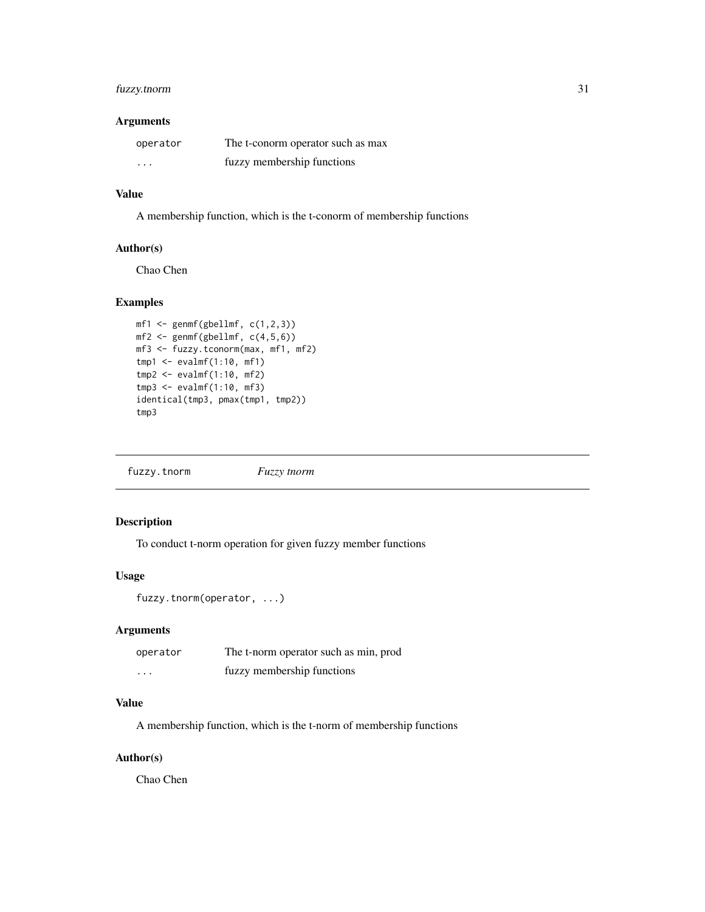# <span id="page-30-0"></span>fuzzy.tnorm 31

### Arguments

| operator | The t-conorm operator such as max |
|----------|-----------------------------------|
| $\cdots$ | fuzzy membership functions        |

#### Value

A membership function, which is the t-conorm of membership functions

#### Author(s)

Chao Chen

# Examples

```
mf1 \leq genmf(gbellmf, c(1,2,3))
mf2 \leftarrow gemmf(gbellmf, c(4,5,6))mf3 <- fuzzy.tconorm(max, mf1, mf2)
tmp1 <- evalmf(1:10, mf1)
tmp2 <- evalmf(1:10, mf2)
tmp3 < -<sup>sup>evalmf(1:10, mf3)</sup>
identical(tmp3, pmax(tmp1, tmp2))
tmp3
```
fuzzy.tnorm *Fuzzy tnorm*

# Description

To conduct t-norm operation for given fuzzy member functions

# Usage

```
fuzzy.tnorm(operator, ...)
```
# Arguments

| operator                | The t-norm operator such as min, prod |
|-------------------------|---------------------------------------|
| $\cdot$ $\cdot$ $\cdot$ | fuzzy membership functions            |

# Value

A membership function, which is the t-norm of membership functions

#### Author(s)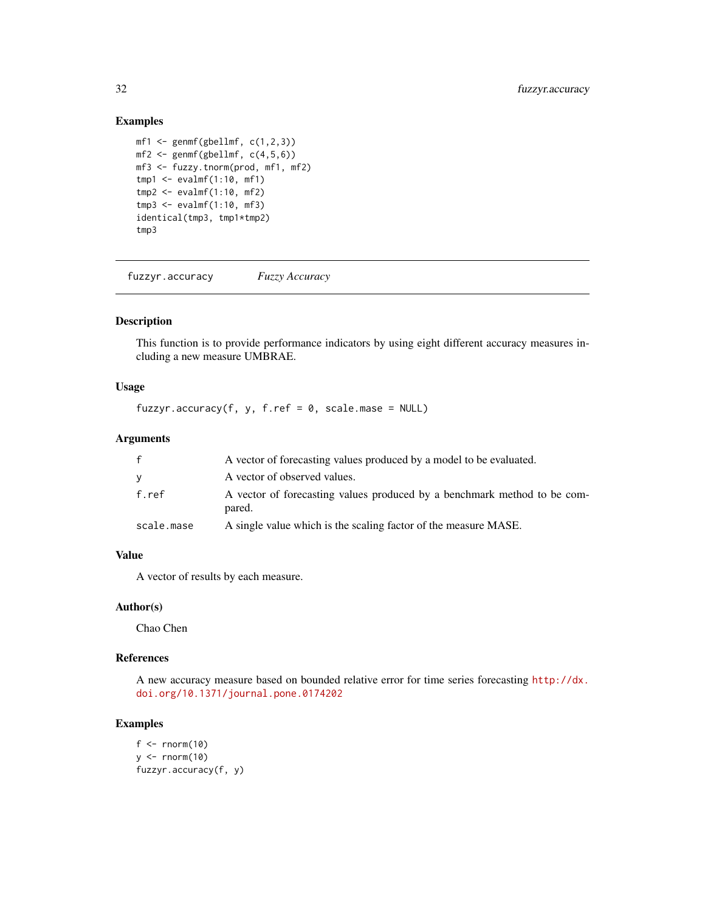# Examples

```
mf1 \leftarrow gennf(gbellm f, c(1,2,3))mf2 \leq-genmf(gbellmf, c(4,5,6))mf3 <- fuzzy.tnorm(prod, mf1, mf2)
tmp1 < -evalmf(1:10, mf1)tmp2 < -evalmf(1:10, mf2)tmp3 <- evalmf(1:10, mf3)
identical(tmp3, tmp1*tmp2)
tmp3
```
fuzzyr.accuracy *Fuzzy Accuracy*

# Description

This function is to provide performance indicators by using eight different accuracy measures including a new measure UMBRAE.

# Usage

fuzzyr.accuracy(f, y, f.ref =  $0$ , scale.mase = NULL)

# Arguments

| f          | A vector of forecasting values produced by a model to be evaluated.                |
|------------|------------------------------------------------------------------------------------|
| v          | A vector of observed values.                                                       |
| f.ref      | A vector of forecasting values produced by a benchmark method to be com-<br>pared. |
| scale.mase | A single value which is the scaling factor of the measure MASE.                    |

# Value

A vector of results by each measure.

## Author(s)

Chao Chen

# References

A new accuracy measure based on bounded relative error for time series forecasting [http://dx.](http://dx.doi.org/10.1371/journal.pone.0174202) [doi.org/10.1371/journal.pone.0174202](http://dx.doi.org/10.1371/journal.pone.0174202)

```
f \leftarrow \text{norm}(10)y \le - rnorm(10)
fuzzyr.accuracy(f, y)
```
<span id="page-31-0"></span>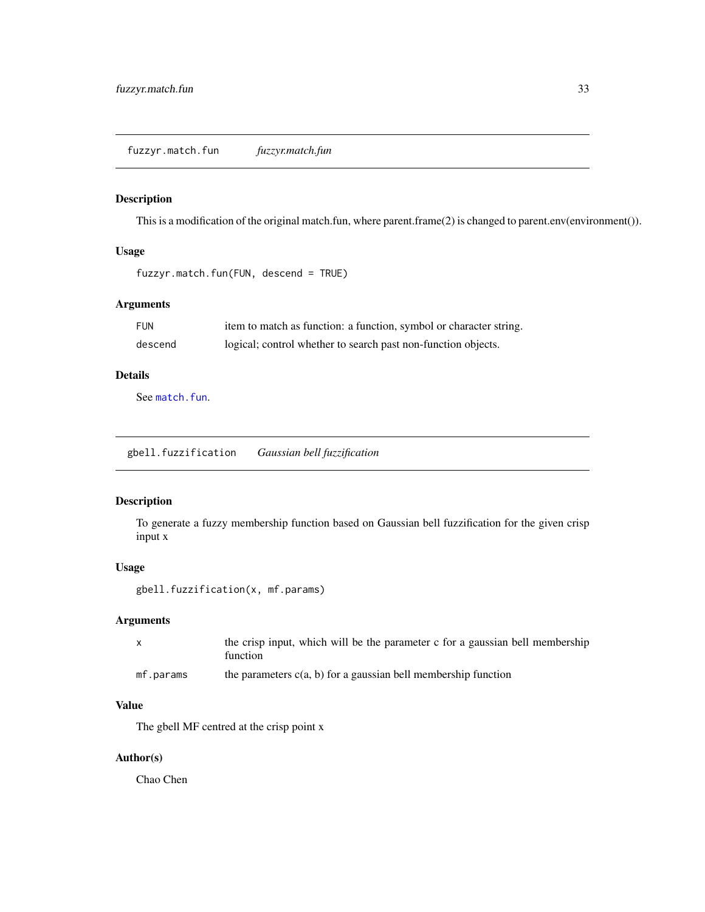<span id="page-32-0"></span>This is a modification of the original match.fun, where parent.frame(2) is changed to parent.env(environment()).

#### Usage

```
fuzzyr.match.fun(FUN, descend = TRUE)
```
# Arguments

| FUN     | item to match as function: a function, symbol or character string. |
|---------|--------------------------------------------------------------------|
| descend | logical; control whether to search past non-function objects.      |

# Details

See [match.fun](#page-0-0).

<span id="page-32-1"></span>gbell.fuzzification *Gaussian bell fuzzification*

# Description

To generate a fuzzy membership function based on Gaussian bell fuzzification for the given crisp input x

#### Usage

gbell.fuzzification(x, mf.params)

# Arguments

| $\mathsf{X}$ | the crisp input, which will be the parameter c for a gaussian bell membership<br>function |
|--------------|-------------------------------------------------------------------------------------------|
| mf.params    | the parameters $c(a, b)$ for a gaussian bell membership function                          |

# Value

The gbell MF centred at the crisp point x

# Author(s)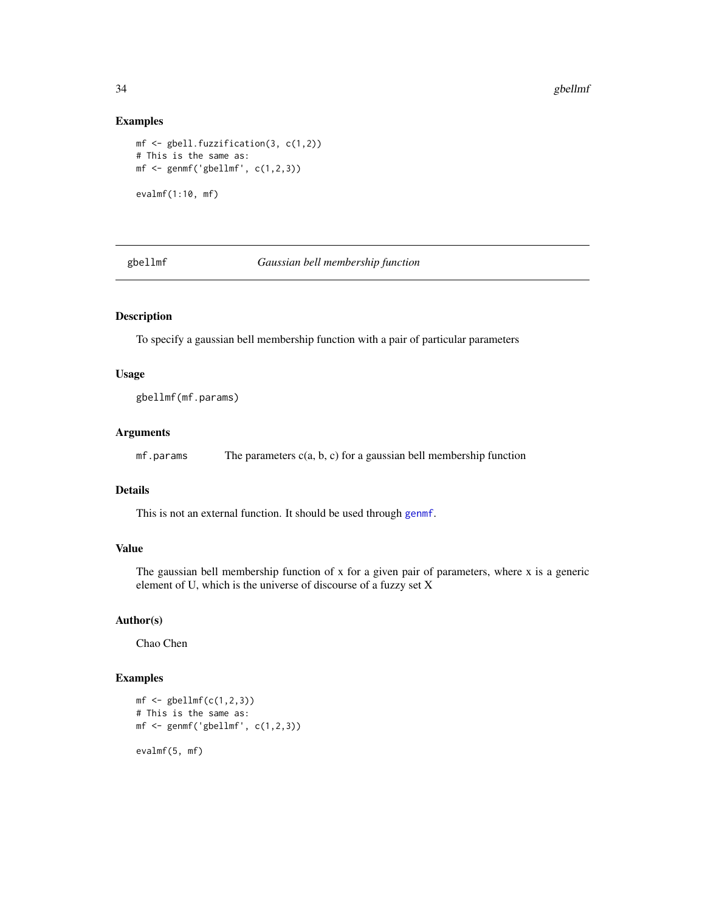#### Examples

```
mf <- gbell.fuzzification(3, c(1,2))
# This is the same as:
mf \leq genmf('gbellmf', c(1,2,3))
evalmf(1:10, mf)
```
gbellmf *Gaussian bell membership function*

# Description

To specify a gaussian bell membership function with a pair of particular parameters

# Usage

gbellmf(mf.params)

# Arguments

 $mf.params$  The parameters  $c(a, b, c)$  for a gaussian bell membership function

## Details

This is not an external function. It should be used through [genmf](#page-34-1).

## Value

The gaussian bell membership function of x for a given pair of parameters, where x is a generic element of U, which is the universe of discourse of a fuzzy set X

## Author(s)

Chao Chen

```
mf \leftarrow \text{gbellm}f(c(1,2,3))# This is the same as:
mf \leq genmf('gbellmf', c(1,2,3))
evalmf(5, mf)
```
<span id="page-33-0"></span>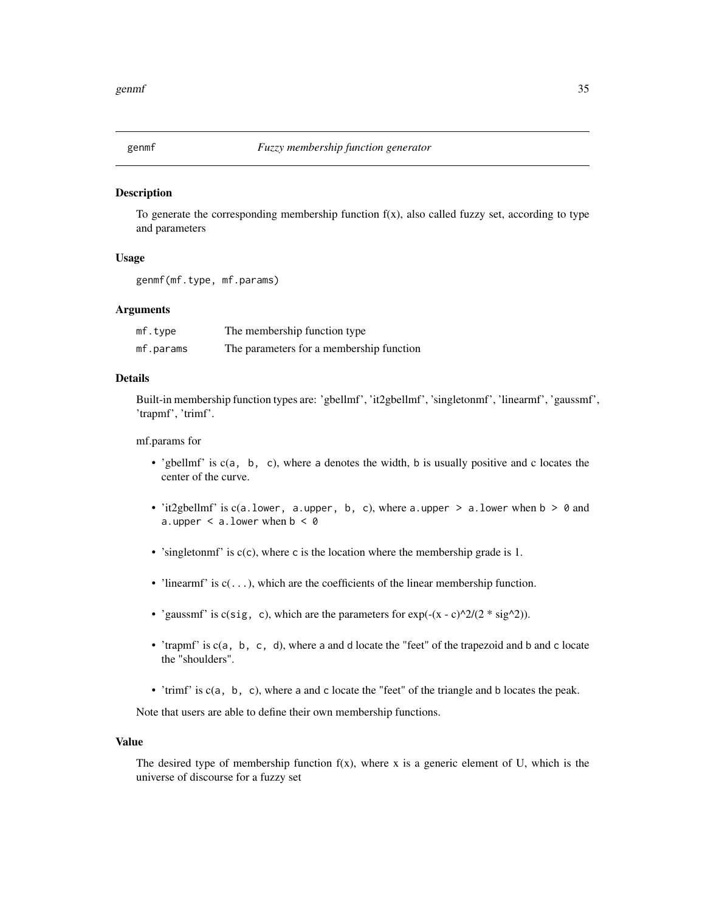<span id="page-34-1"></span><span id="page-34-0"></span>

To generate the corresponding membership function  $f(x)$ , also called fuzzy set, according to type and parameters

#### Usage

```
genmf(mf.type, mf.params)
```
# **Arguments**

| mf. type  | The membership function type             |
|-----------|------------------------------------------|
| mf.params | The parameters for a membership function |

## Details

Built-in membership function types are: 'gbellmf', 'it2gbellmf', 'singletonmf', 'linearmf', 'gaussmf', 'trapmf', 'trimf'.

#### mf.params for

- 'gbellmf' is  $c(a, b, c)$ , where a denotes the width, b is usually positive and c locates the center of the curve.
- 'it2gbellmf' is  $c(a.1ower, a.upper, b, c)$ , where a.upper > a.lower when  $b > 0$  and a.upper  $\le$  a.lower when  $b \le 0$
- 'singletonmf' is  $c(c)$ , where c is the location where the membership grade is 1.
- 'linearmf' is  $c(\ldots)$ , which are the coefficients of the linear membership function.
- 'gaussmf' is  $c(sig, c)$ , which are the parameters for  $exp(-(x c)^2)/(2 \cdot sig^2)$ .
- 'trapmf' is c(a, b, c, d), where a and d locate the "feet" of the trapezoid and b and c locate the "shoulders".
- 'trimf' is c(a, b, c), where a and c locate the "feet" of the triangle and b locates the peak.

Note that users are able to define their own membership functions.

#### Value

The desired type of membership function  $f(x)$ , where x is a generic element of U, which is the universe of discourse for a fuzzy set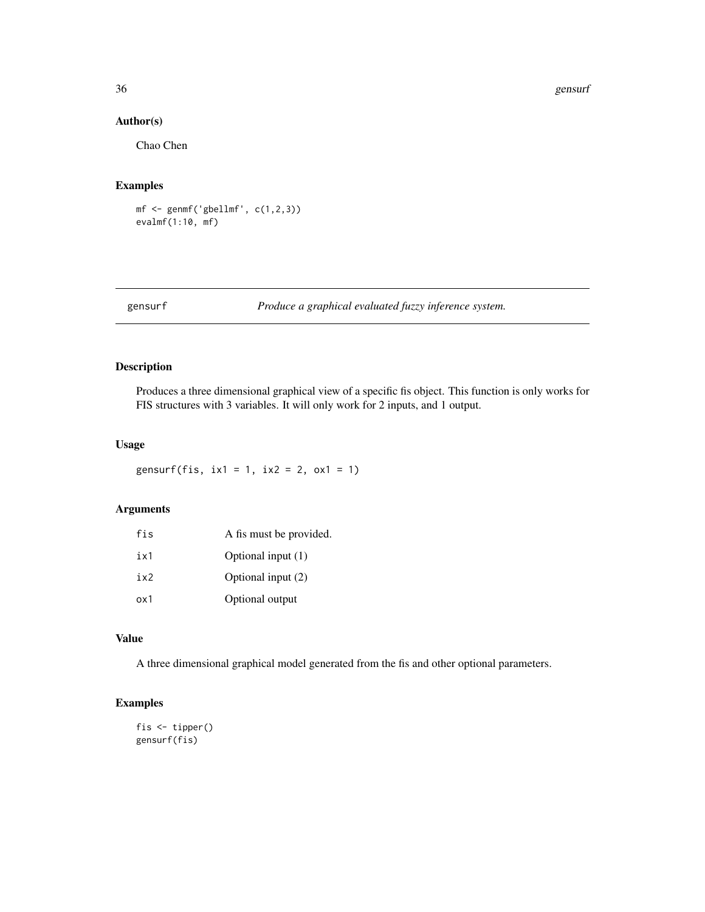#### <span id="page-35-0"></span>36 gensurf

#### Author(s)

Chao Chen

#### Examples

mf  $\leq$  genmf('gbellmf',  $c(1,2,3)$ ) evalmf(1:10, mf)

gensurf *Produce a graphical evaluated fuzzy inference system.*

# Description

Produces a three dimensional graphical view of a specific fis object. This function is only works for FIS structures with 3 variables. It will only work for 2 inputs, and 1 output.

# Usage

gensurf(fis,  $ix1 = 1$ ,  $ix2 = 2$ ,  $ox1 = 1$ )

# Arguments

| fis   | A fis must be provided. |
|-------|-------------------------|
| i x 1 | Optional input (1)      |
| ix2   | Optional input (2)      |
| ox1   | Optional output         |

#### Value

A three dimensional graphical model generated from the fis and other optional parameters.

# Examples

fis <- tipper() gensurf(fis)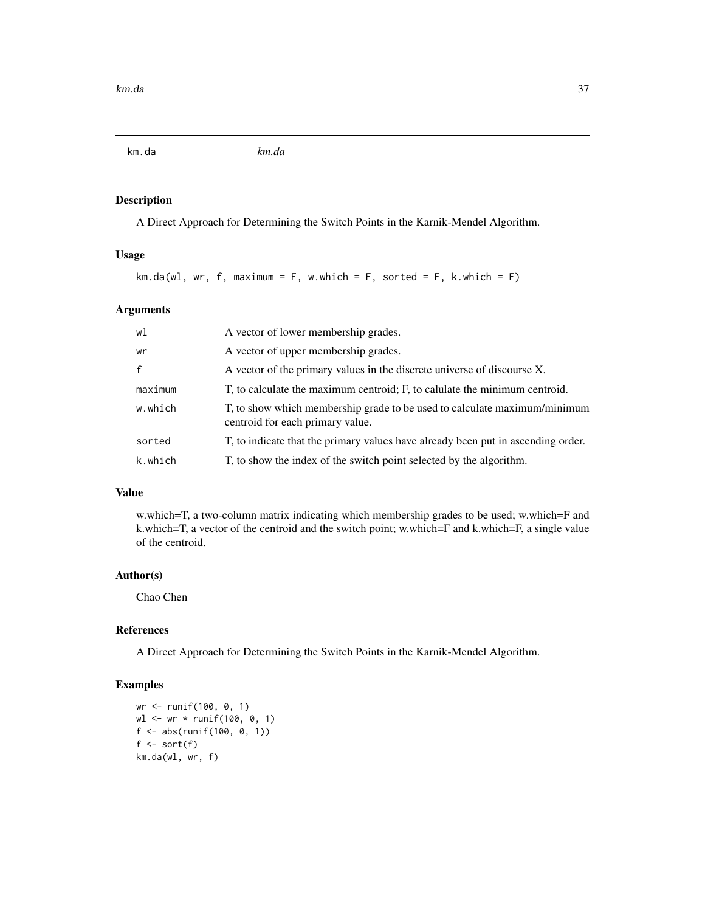<span id="page-36-0"></span>km.da *km.da*

#### Description

A Direct Approach for Determining the Switch Points in the Karnik-Mendel Algorithm.

# Usage

```
km.da(w1, wr, f, maximum = F, w. which = F, sorted = F, k. which = F)
```
# Arguments

| wl           | A vector of lower membership grades.                                                                          |
|--------------|---------------------------------------------------------------------------------------------------------------|
| wr           | A vector of upper membership grades.                                                                          |
| $\mathsf{f}$ | A vector of the primary values in the discrete universe of discourse X.                                       |
| maximum      | T, to calculate the maximum centroid; F, to calulate the minimum centroid.                                    |
| w.which      | T, to show which membership grade to be used to calculate maximum/minimum<br>centroid for each primary value. |
| sorted       | T, to indicate that the primary values have already been put in ascending order.                              |
| k.which      | T, to show the index of the switch point selected by the algorithm.                                           |

## Value

w.which=T, a two-column matrix indicating which membership grades to be used; w.which=F and k.which=T, a vector of the centroid and the switch point; w.which=F and k.which=F, a single value of the centroid.

#### Author(s)

Chao Chen

# References

A Direct Approach for Determining the Switch Points in the Karnik-Mendel Algorithm.

```
wr <- runif(100, 0, 1)
wl <- wr * runif(100, 0, 1)
f <- abs(runif(100, 0, 1))
f \leftarrow sort(f)km.da(wl, wr, f)
```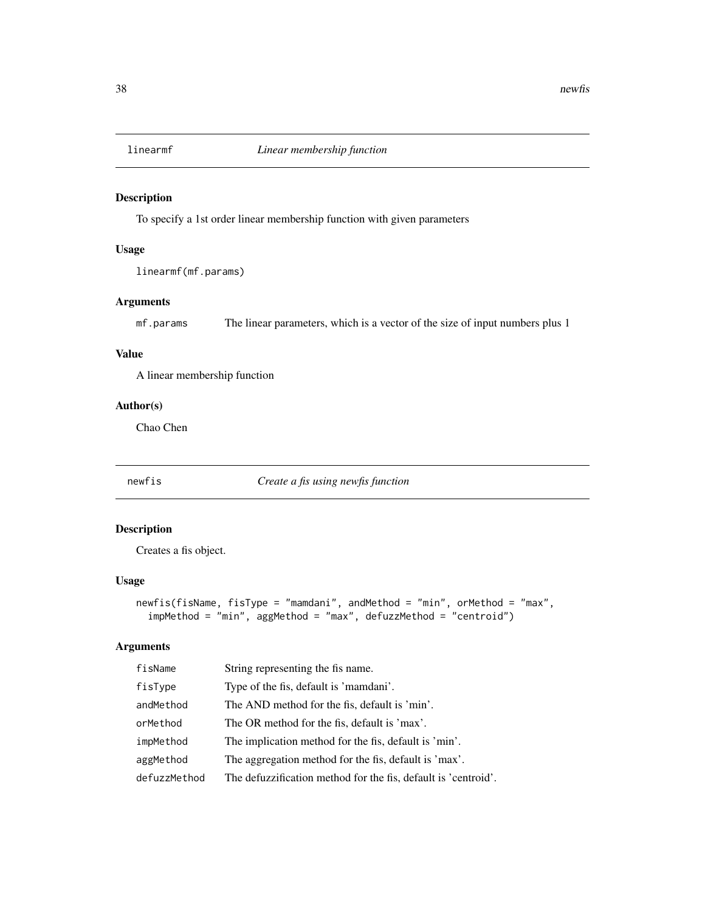<span id="page-37-0"></span>

To specify a 1st order linear membership function with given parameters

# Usage

linearmf(mf.params)

# Arguments

mf.params The linear parameters, which is a vector of the size of input numbers plus 1

#### Value

A linear membership function

# Author(s)

Chao Chen

<span id="page-37-1"></span>newfis *Create a fis using newfis function*

# Description

Creates a fis object.

#### Usage

```
newfis(fisName, fisType = "mamdani", andMethod = "min", orMethod = "max",
  impMethod = "min", aggMethod = "max", defuzzMethod = "centroid")
```
## Arguments

| fisName      | String representing the fis name.                              |
|--------------|----------------------------------------------------------------|
| fisType      | Type of the fis, default is 'mamdani'.                         |
| andMethod    | The AND method for the fis, default is 'min'.                  |
| orMethod     | The OR method for the fis, default is 'max'.                   |
| impMethod    | The implication method for the fis, default is 'min'.          |
| aggMethod    | The aggregation method for the fis, default is 'max'.          |
| defuzzMethod | The defuzzification method for the fis, default is 'centroid'. |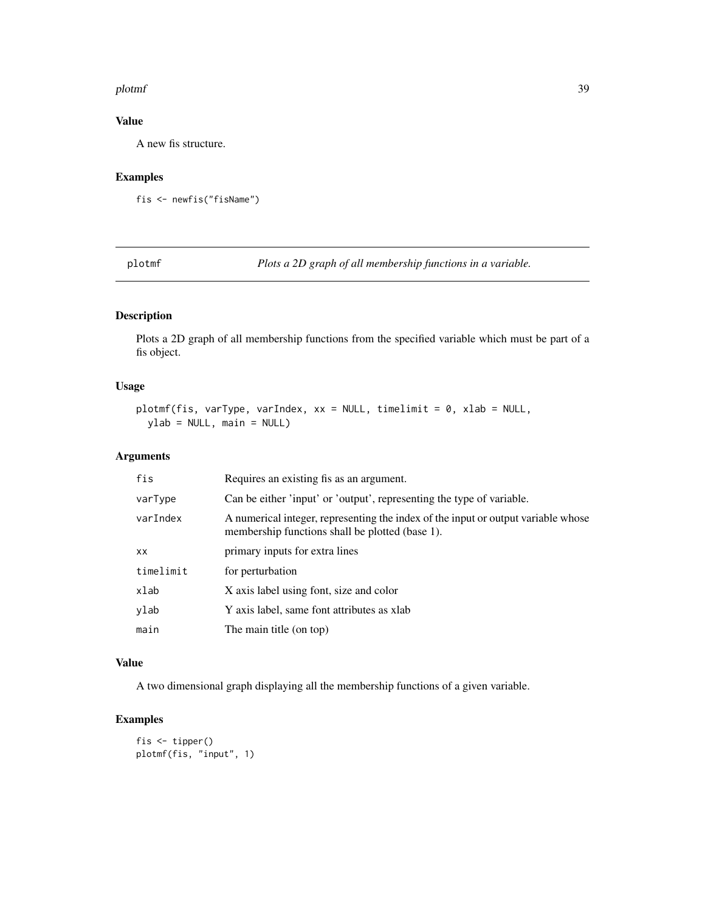#### <span id="page-38-0"></span>plotmf 39

# Value

A new fis structure.

# Examples

```
fis <- newfis("fisName")
```
plotmf *Plots a 2D graph of all membership functions in a variable.*

# Description

Plots a 2D graph of all membership functions from the specified variable which must be part of a fis object.

# Usage

```
plotmf(fis, varType, varIndex, xx = NULL, timelimit = 0, xlab = NULL,
 ylab = NULL, main = NULL)
```
# Arguments

| fis       | Requires an existing fis as an argument.                                                                                             |
|-----------|--------------------------------------------------------------------------------------------------------------------------------------|
| varType   | Can be either 'input' or 'output', representing the type of variable.                                                                |
| varIndex  | A numerical integer, representing the index of the input or output variable whose<br>membership functions shall be plotted (base 1). |
| XX.       | primary inputs for extra lines                                                                                                       |
| timelimit | for perturbation                                                                                                                     |
| xlab      | X axis label using font, size and color                                                                                              |
| ylab      | Y axis label, same font attributes as xlab                                                                                           |
| main      | The main title (on top)                                                                                                              |

## Value

A two dimensional graph displaying all the membership functions of a given variable.

# Examples

fis <- tipper() plotmf(fis, "input", 1)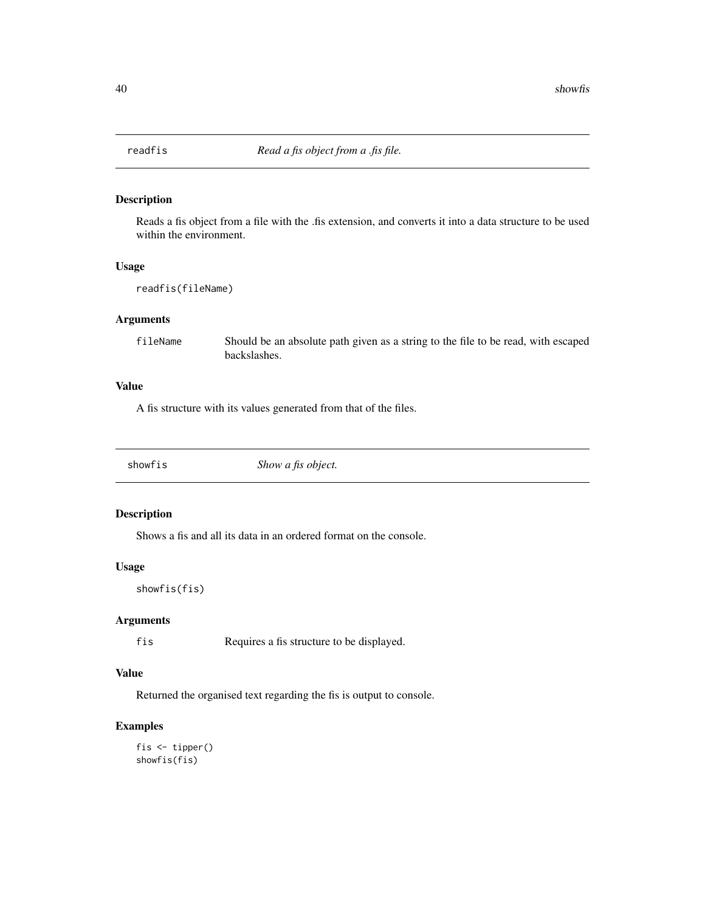<span id="page-39-0"></span>

Reads a fis object from a file with the .fis extension, and converts it into a data structure to be used within the environment.

### Usage

readfis(fileName)

#### Arguments

fileName Should be an absolute path given as a string to the file to be read, with escaped backslashes.

# Value

A fis structure with its values generated from that of the files.

showfis *Show a fis object.*

# Description

Shows a fis and all its data in an ordered format on the console.

# Usage

showfis(fis)

#### Arguments

fis Requires a fis structure to be displayed.

# Value

Returned the organised text regarding the fis is output to console.

# Examples

fis <- tipper() showfis(fis)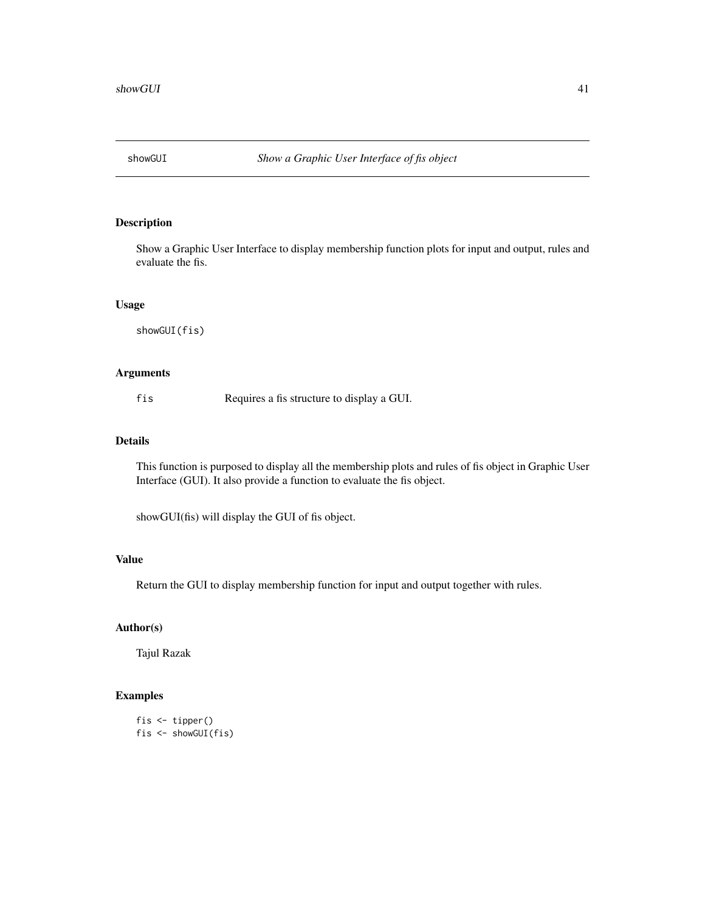<span id="page-40-0"></span>

Show a Graphic User Interface to display membership function plots for input and output, rules and evaluate the fis.

#### Usage

showGUI(fis)

# Arguments

fis Requires a fis structure to display a GUI.

#### Details

This function is purposed to display all the membership plots and rules of fis object in Graphic User Interface (GUI). It also provide a function to evaluate the fis object.

showGUI(fis) will display the GUI of fis object.

# Value

Return the GUI to display membership function for input and output together with rules.

# Author(s)

Tajul Razak

```
fis <- tipper()
fis <- showGUI(fis)
```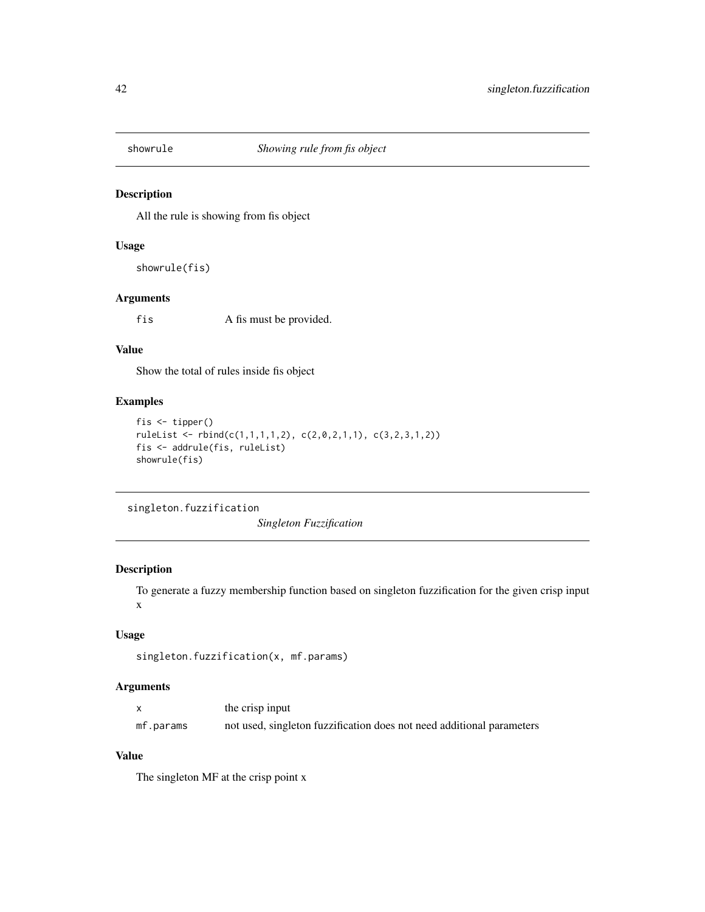<span id="page-41-0"></span>

All the rule is showing from fis object

# Usage

showrule(fis)

# Arguments

f is A fis must be provided.

# Value

Show the total of rules inside fis object

## Examples

```
fis <- tipper()
ruleList <- rbind(c(1,1,1,1,2), c(2,0,2,1,1), c(3,2,3,1,2))
fis <- addrule(fis, ruleList)
showrule(fis)
```
singleton.fuzzification

*Singleton Fuzzification*

# Description

To generate a fuzzy membership function based on singleton fuzzification for the given crisp input x

## Usage

```
singleton.fuzzification(x, mf.params)
```
#### Arguments

|           | the crisp input                                                       |
|-----------|-----------------------------------------------------------------------|
| mf.params | not used, singleton fuzzification does not need additional parameters |

# Value

The singleton MF at the crisp point x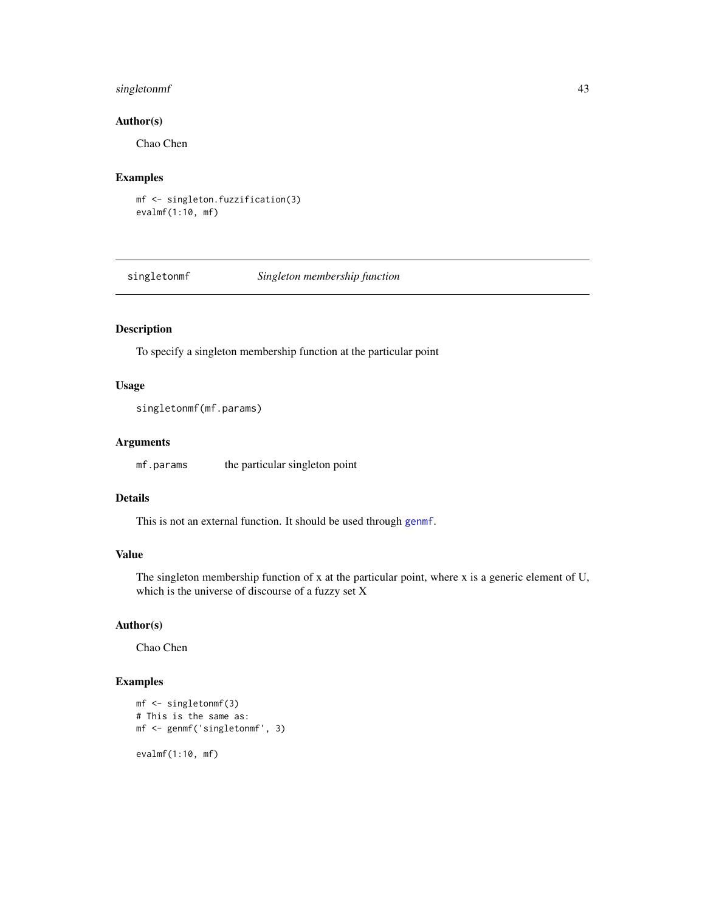# <span id="page-42-0"></span>singletonmf 43

# Author(s)

Chao Chen

# Examples

```
mf <- singleton.fuzzification(3)
evalmf(1:10, mf)
```
singletonmf *Singleton membership function*

# Description

To specify a singleton membership function at the particular point

#### Usage

```
singletonmf(mf.params)
```
# Arguments

mf.params the particular singleton point

# Details

This is not an external function. It should be used through [genmf](#page-34-1).

# Value

The singleton membership function of x at the particular point, where x is a generic element of U, which is the universe of discourse of a fuzzy set X

# Author(s)

Chao Chen

```
mf <- singletonmf(3)
# This is the same as:
mf <- genmf('singletonmf', 3)
evalmf(1:10, mf)
```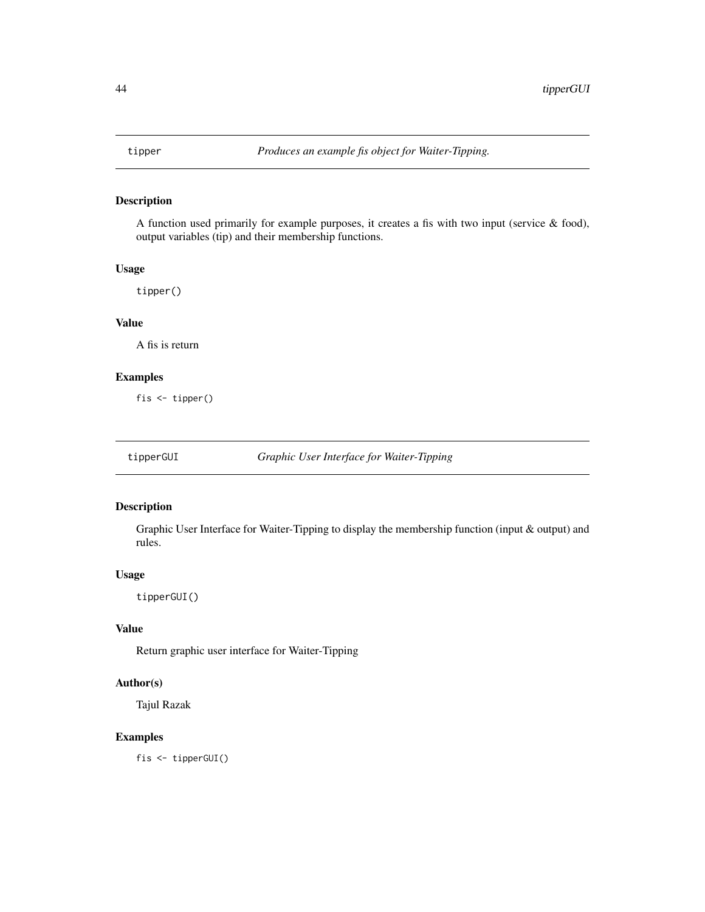<span id="page-43-0"></span>

A function used primarily for example purposes, it creates a fis with two input (service & food), output variables (tip) and their membership functions.

#### Usage

tipper()

# Value

A fis is return

# Examples

fis <- tipper()

tipperGUI *Graphic User Interface for Waiter-Tipping*

# Description

Graphic User Interface for Waiter-Tipping to display the membership function (input & output) and rules.

#### Usage

tipperGUI()

# Value

Return graphic user interface for Waiter-Tipping

# Author(s)

Tajul Razak

# Examples

fis <- tipperGUI()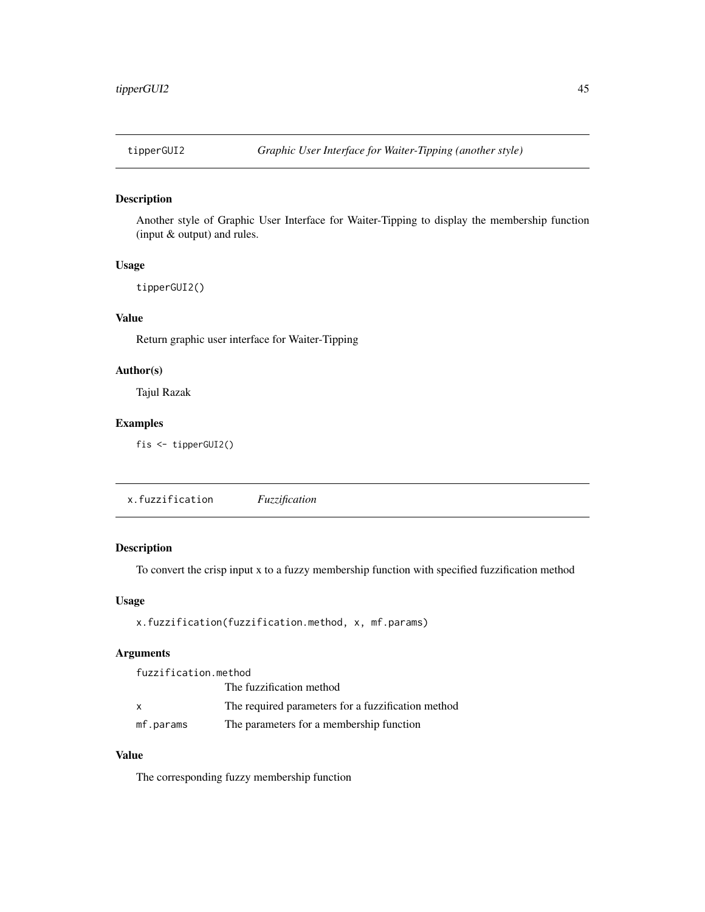<span id="page-44-0"></span>

Another style of Graphic User Interface for Waiter-Tipping to display the membership function (input & output) and rules.

# Usage

tipperGUI2()

# Value

Return graphic user interface for Waiter-Tipping

#### Author(s)

Tajul Razak

#### Examples

fis <- tipperGUI2()

x.fuzzification *Fuzzification*

# Description

To convert the crisp input x to a fuzzy membership function with specified fuzzification method

#### Usage

```
x.fuzzification(fuzzification.method, x, mf.params)
```
# Arguments

fuzzification.method The fuzzification method x The required parameters for a fuzzification method mf.params The parameters for a membership function

# Value

The corresponding fuzzy membership function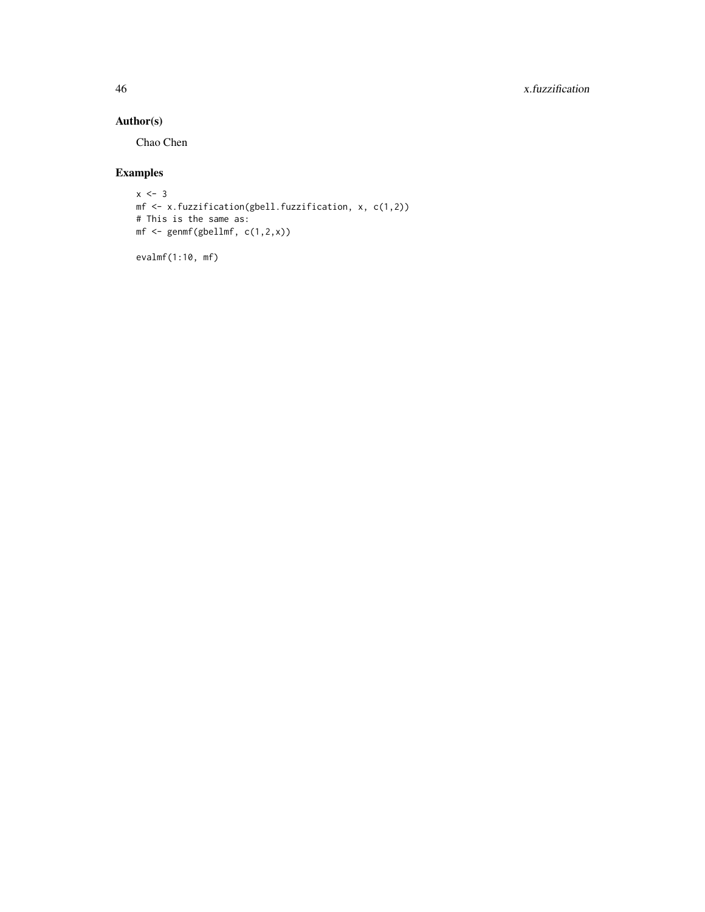46 x.fuzzification

# Author(s)

Chao Chen

# Examples

```
x \le -3mf <- x.fuzzification(gbell.fuzzification, x, c(1,2))
# This is the same as:
mf \leftarrow gemmf(gbellmf, c(1,2,x))
```
evalmf(1:10, mf)